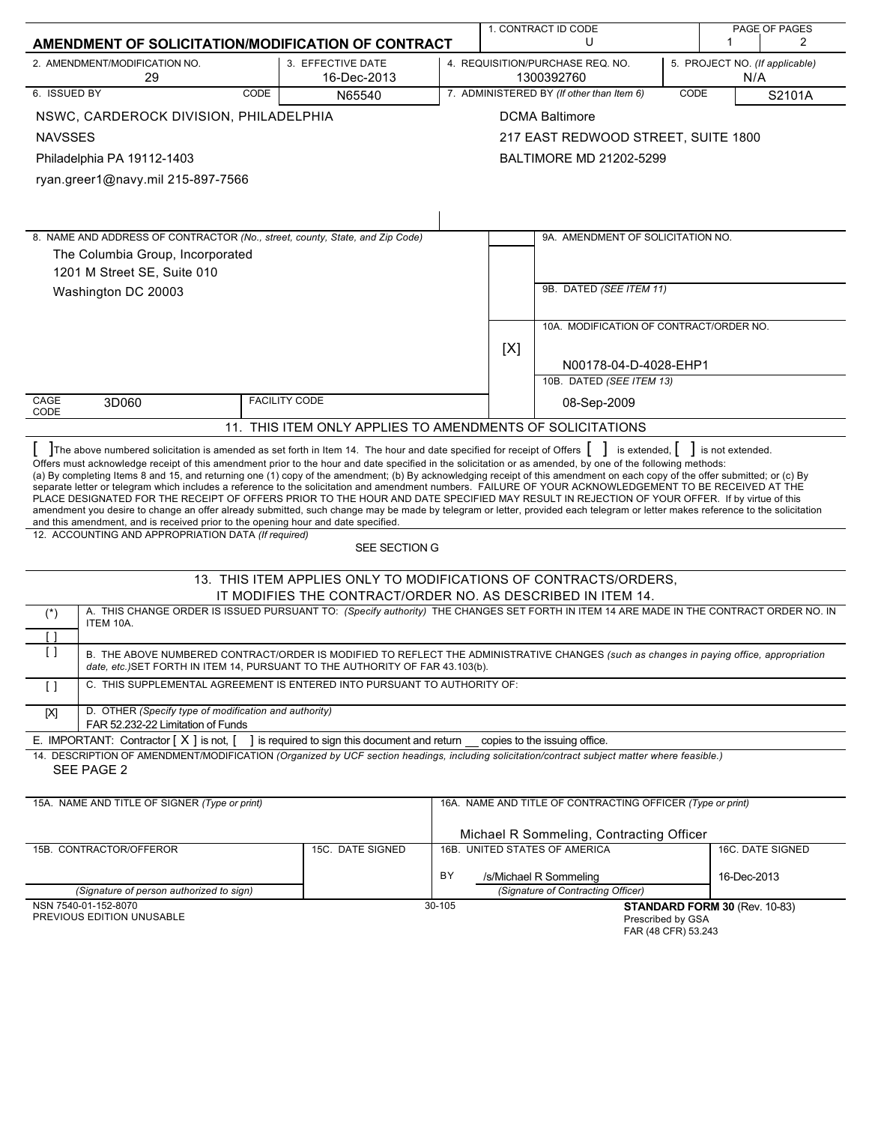| AMENDMENT OF SOLICITATION/MODIFICATION OF CONTRACT                                                                                                                                                                                                                                                                                                                                                                                                                                                                                                                                                                                                                                                                                                                                                                   |                                                                  |                                                                                         |     | 1. CONTRACT ID CODE<br>U                                   |      | 1                             | PAGE OF PAGES<br>2 |
|----------------------------------------------------------------------------------------------------------------------------------------------------------------------------------------------------------------------------------------------------------------------------------------------------------------------------------------------------------------------------------------------------------------------------------------------------------------------------------------------------------------------------------------------------------------------------------------------------------------------------------------------------------------------------------------------------------------------------------------------------------------------------------------------------------------------|------------------------------------------------------------------|-----------------------------------------------------------------------------------------|-----|------------------------------------------------------------|------|-------------------------------|--------------------|
| 2. AMENDMENT/MODIFICATION NO.<br>29                                                                                                                                                                                                                                                                                                                                                                                                                                                                                                                                                                                                                                                                                                                                                                                  | 3. EFFECTIVE DATE<br>16-Dec-2013                                 | 4. REQUISITION/PURCHASE REQ. NO.<br>5. PROJECT NO. (If applicable)<br>1300392760<br>N/A |     |                                                            |      |                               |                    |
| 6. ISSUED BY<br><b>CODE</b>                                                                                                                                                                                                                                                                                                                                                                                                                                                                                                                                                                                                                                                                                                                                                                                          | N65540                                                           |                                                                                         |     | 7. ADMINISTERED BY (If other than Item 6)                  | CODE |                               | S2101A             |
| NSWC, CARDEROCK DIVISION, PHILADELPHIA                                                                                                                                                                                                                                                                                                                                                                                                                                                                                                                                                                                                                                                                                                                                                                               |                                                                  |                                                                                         |     | <b>DCMA Baltimore</b>                                      |      |                               |                    |
| <b>NAVSSES</b>                                                                                                                                                                                                                                                                                                                                                                                                                                                                                                                                                                                                                                                                                                                                                                                                       |                                                                  |                                                                                         |     | 217 EAST REDWOOD STREET, SUITE 1800                        |      |                               |                    |
| Philadelphia PA 19112-1403                                                                                                                                                                                                                                                                                                                                                                                                                                                                                                                                                                                                                                                                                                                                                                                           |                                                                  |                                                                                         |     | <b>BALTIMORE MD 21202-5299</b>                             |      |                               |                    |
| ryan.greer1@navy.mil 215-897-7566                                                                                                                                                                                                                                                                                                                                                                                                                                                                                                                                                                                                                                                                                                                                                                                    |                                                                  |                                                                                         |     |                                                            |      |                               |                    |
|                                                                                                                                                                                                                                                                                                                                                                                                                                                                                                                                                                                                                                                                                                                                                                                                                      |                                                                  |                                                                                         |     |                                                            |      |                               |                    |
|                                                                                                                                                                                                                                                                                                                                                                                                                                                                                                                                                                                                                                                                                                                                                                                                                      |                                                                  |                                                                                         |     |                                                            |      |                               |                    |
| 8. NAME AND ADDRESS OF CONTRACTOR (No., street, county, State, and Zip Code)                                                                                                                                                                                                                                                                                                                                                                                                                                                                                                                                                                                                                                                                                                                                         |                                                                  |                                                                                         |     | 9A. AMENDMENT OF SOLICITATION NO.                          |      |                               |                    |
| The Columbia Group, Incorporated                                                                                                                                                                                                                                                                                                                                                                                                                                                                                                                                                                                                                                                                                                                                                                                     |                                                                  |                                                                                         |     |                                                            |      |                               |                    |
| 1201 M Street SE, Suite 010                                                                                                                                                                                                                                                                                                                                                                                                                                                                                                                                                                                                                                                                                                                                                                                          |                                                                  |                                                                                         |     |                                                            |      |                               |                    |
| Washington DC 20003                                                                                                                                                                                                                                                                                                                                                                                                                                                                                                                                                                                                                                                                                                                                                                                                  |                                                                  |                                                                                         |     | 9B. DATED (SEE ITEM 11)                                    |      |                               |                    |
|                                                                                                                                                                                                                                                                                                                                                                                                                                                                                                                                                                                                                                                                                                                                                                                                                      |                                                                  |                                                                                         |     | 10A. MODIFICATION OF CONTRACT/ORDER NO.                    |      |                               |                    |
|                                                                                                                                                                                                                                                                                                                                                                                                                                                                                                                                                                                                                                                                                                                                                                                                                      |                                                                  |                                                                                         | [X] |                                                            |      |                               |                    |
|                                                                                                                                                                                                                                                                                                                                                                                                                                                                                                                                                                                                                                                                                                                                                                                                                      |                                                                  |                                                                                         |     | N00178-04-D-4028-EHP1                                      |      |                               |                    |
|                                                                                                                                                                                                                                                                                                                                                                                                                                                                                                                                                                                                                                                                                                                                                                                                                      |                                                                  |                                                                                         |     | 10B. DATED (SEE ITEM 13)                                   |      |                               |                    |
| CAGE<br>3D060<br>CODE                                                                                                                                                                                                                                                                                                                                                                                                                                                                                                                                                                                                                                                                                                                                                                                                | <b>FACILITY CODE</b>                                             |                                                                                         |     | 08-Sep-2009                                                |      |                               |                    |
|                                                                                                                                                                                                                                                                                                                                                                                                                                                                                                                                                                                                                                                                                                                                                                                                                      | 11. THIS ITEM ONLY APPLIES TO AMENDMENTS OF SOLICITATIONS        |                                                                                         |     |                                                            |      |                               |                    |
| (a) By completing Items 8 and 15, and returning one (1) copy of the amendment; (b) By acknowledging receipt of this amendment on each copy of the offer submitted; or (c) By<br>separate letter or telegram which includes a reference to the solicitation and amendment numbers. FAILURE OF YOUR ACKNOWLEDGEMENT TO BE RECEIVED AT THE<br>PLACE DESIGNATED FOR THE RECEIPT OF OFFERS PRIOR TO THE HOUR AND DATE SPECIFIED MAY RESULT IN REJECTION OF YOUR OFFER. If by virtue of this<br>amendment you desire to change an offer already submitted, such change may be made by telegram or letter, provided each telegram or letter makes reference to the solicitation<br>and this amendment, and is received prior to the opening hour and date specified.<br>12. ACCOUNTING AND APPROPRIATION DATA (If required) | SEE SECTION G                                                    |                                                                                         |     |                                                            |      |                               |                    |
|                                                                                                                                                                                                                                                                                                                                                                                                                                                                                                                                                                                                                                                                                                                                                                                                                      | 13. THIS ITEM APPLIES ONLY TO MODIFICATIONS OF CONTRACTS/ORDERS, |                                                                                         |     |                                                            |      |                               |                    |
|                                                                                                                                                                                                                                                                                                                                                                                                                                                                                                                                                                                                                                                                                                                                                                                                                      | IT MODIFIES THE CONTRACT/ORDER NO. AS DESCRIBED IN ITEM 14.      |                                                                                         |     |                                                            |      |                               |                    |
| A. THIS CHANGE ORDER IS ISSUED PURSUANT TO: (Specify authority) THE CHANGES SET FORTH IN ITEM 14 ARE MADE IN THE CONTRACT ORDER NO. IN<br>$(\star)$<br>ITEM 10A.<br>$\Box$                                                                                                                                                                                                                                                                                                                                                                                                                                                                                                                                                                                                                                           |                                                                  |                                                                                         |     |                                                            |      |                               |                    |
| $\lceil$ $\rceil$<br>B. THE ABOVE NUMBERED CONTRACT/ORDER IS MODIFIED TO REFLECT THE ADMINISTRATIVE CHANGES (such as changes in paying office, appropriation<br>date, etc.) SET FORTH IN ITEM 14, PURSUANT TO THE AUTHORITY OF FAR 43.103(b).                                                                                                                                                                                                                                                                                                                                                                                                                                                                                                                                                                        |                                                                  |                                                                                         |     |                                                            |      |                               |                    |
| C. THIS SUPPLEMENTAL AGREEMENT IS ENTERED INTO PURSUANT TO AUTHORITY OF:<br>$\Box$                                                                                                                                                                                                                                                                                                                                                                                                                                                                                                                                                                                                                                                                                                                                   |                                                                  |                                                                                         |     |                                                            |      |                               |                    |
| D. OTHER (Specify type of modification and authority)<br>[X]<br>FAR 52.232-22 Limitation of Funds                                                                                                                                                                                                                                                                                                                                                                                                                                                                                                                                                                                                                                                                                                                    |                                                                  |                                                                                         |     |                                                            |      |                               |                    |
| E. IMPORTANT: Contractor $[X]$ is not, $[$                                                                                                                                                                                                                                                                                                                                                                                                                                                                                                                                                                                                                                                                                                                                                                           | I is required to sign this document and return                   |                                                                                         |     | copies to the issuing office.                              |      |                               |                    |
| 14. DESCRIPTION OF AMENDMENT/MODIFICATION (Organized by UCF section headings, including solicitation/contract subject matter where feasible.)<br>SEE PAGE 2                                                                                                                                                                                                                                                                                                                                                                                                                                                                                                                                                                                                                                                          |                                                                  |                                                                                         |     |                                                            |      |                               |                    |
| 15A. NAME AND TITLE OF SIGNER (Type or print)                                                                                                                                                                                                                                                                                                                                                                                                                                                                                                                                                                                                                                                                                                                                                                        |                                                                  |                                                                                         |     | 16A. NAME AND TITLE OF CONTRACTING OFFICER (Type or print) |      |                               |                    |
|                                                                                                                                                                                                                                                                                                                                                                                                                                                                                                                                                                                                                                                                                                                                                                                                                      |                                                                  |                                                                                         |     | Michael R Sommeling, Contracting Officer                   |      |                               |                    |
| 15B. CONTRACTOR/OFFEROR                                                                                                                                                                                                                                                                                                                                                                                                                                                                                                                                                                                                                                                                                                                                                                                              | 15C. DATE SIGNED                                                 |                                                                                         |     | 16B. UNITED STATES OF AMERICA                              |      |                               | 16C. DATE SIGNED   |
|                                                                                                                                                                                                                                                                                                                                                                                                                                                                                                                                                                                                                                                                                                                                                                                                                      |                                                                  | BY                                                                                      |     | /s/Michael R Sommeling                                     |      | 16-Dec-2013                   |                    |
| (Signature of person authorized to sign)                                                                                                                                                                                                                                                                                                                                                                                                                                                                                                                                                                                                                                                                                                                                                                             |                                                                  |                                                                                         |     | (Signature of Contracting Officer)                         |      |                               |                    |
| NSN 7540-01-152-8070<br>PREVIOUS EDITION UNUSABLE                                                                                                                                                                                                                                                                                                                                                                                                                                                                                                                                                                                                                                                                                                                                                                    |                                                                  | 30-105                                                                                  |     | Prescribed by GSA                                          |      | STANDARD FORM 30 (Rev. 10-83) |                    |
|                                                                                                                                                                                                                                                                                                                                                                                                                                                                                                                                                                                                                                                                                                                                                                                                                      |                                                                  |                                                                                         |     | FAR (48 CFR) 53.243                                        |      |                               |                    |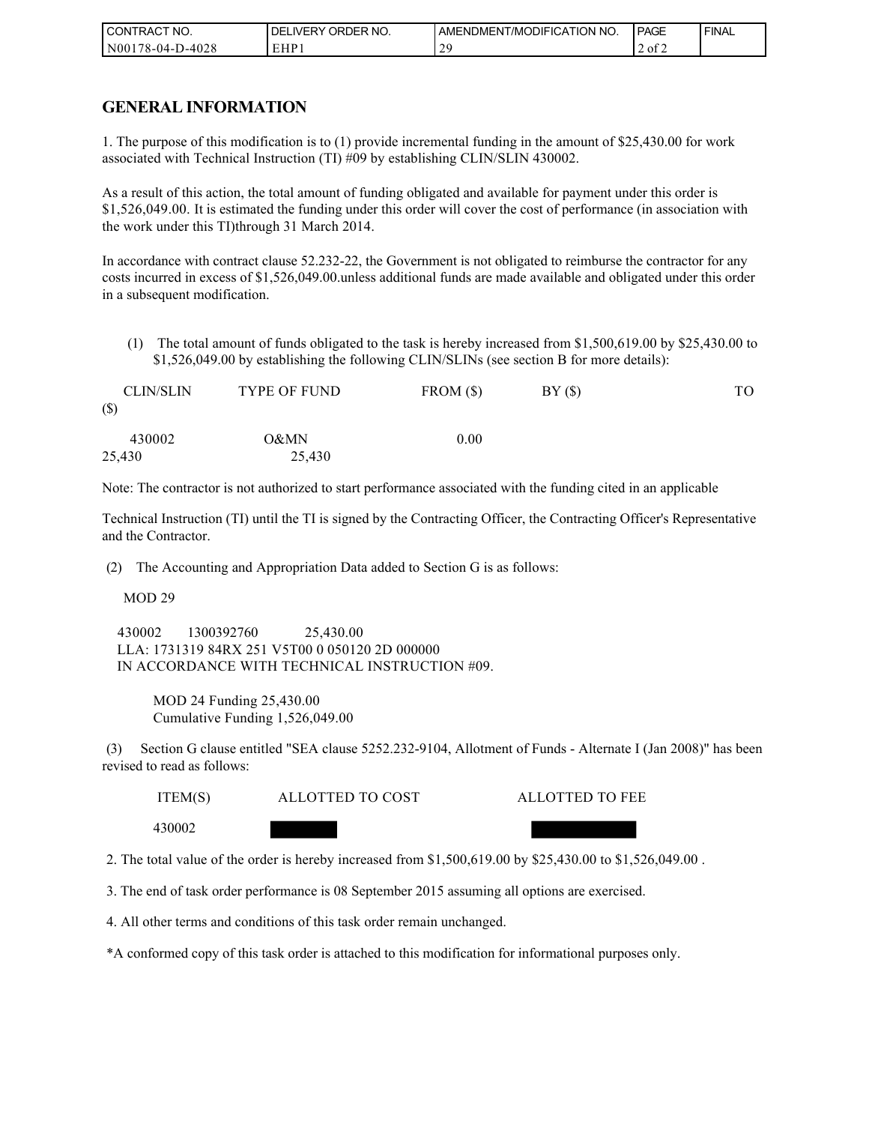| CONTRACT NO.           | <b>ORDER</b><br>NO.<br><b>DELIVERY</b> | AMENDMENT/MODIFICATION NO. | PAGE                    | <b>FINAL</b> |
|------------------------|----------------------------------------|----------------------------|-------------------------|--------------|
| 8-04-D-4028/<br>N00178 | EHP 1                                  | n c                        | $\sim$ $\sim$<br>2 of 2 |              |

### **GENERAL INFORMATION**

1. The purpose of this modification is to (1) provide incremental funding in the amount of \$25,430.00 for work associated with Technical Instruction (TI) #09 by establishing CLIN/SLIN 430002.

As a result of this action, the total amount of funding obligated and available for payment under this order is \$1,526,049.00. It is estimated the funding under this order will cover the cost of performance (in association with the work under this TI)through 31 March 2014.

In accordance with contract clause 52.232-22, the Government is not obligated to reimburse the contractor for any costs incurred in excess of \$1,526,049.00.unless additional funds are made available and obligated under this order in a subsequent modification.

(1) The total amount of funds obligated to the task is hereby increased from \$1,500,619.00 by \$25,430.00 to \$1,526,049.00 by establishing the following CLIN/SLINs (see section B for more details):

| <b>CLIN/SLIN</b><br>$(\$)$ | <b>TYPE OF FUND</b> | FROM(S)  | BY( | TО |
|----------------------------|---------------------|----------|-----|----|
| 430002<br>25,430           | 0&MN<br>25,430      | $0.00\,$ |     |    |

Note: The contractor is not authorized to start performance associated with the funding cited in an applicable

Technical Instruction (TI) until the TI is signed by the Contracting Officer, the Contracting Officer's Representative and the Contractor.

(2) The Accounting and Appropriation Data added to Section G is as follows:

MOD 29

 430002 1300392760 25,430.00 LLA: 1731319 84RX 251 V5T00 0 050120 2D 000000 IN ACCORDANCE WITH TECHNICAL INSTRUCTION #09.

MOD 24 Funding 25,430.00 Cumulative Funding 1,526,049.00

 (3) Section G clause entitled "SEA clause 5252.232-9104, Allotment of Funds - Alternate I (Jan 2008)" has been revised to read as follows:

ITEM(S) ALLOTTED TO COST ALLOTTED TO FEE

430002

2. The total value of the order is hereby increased from \$1,500,619.00 by \$25,430.00 to \$1,526,049.00 .

3. The end of task order performance is 08 September 2015 assuming all options are exercised.

4. All other terms and conditions of this task order remain unchanged.

\*A conformed copy of this task order is attached to this modification for informational purposes only.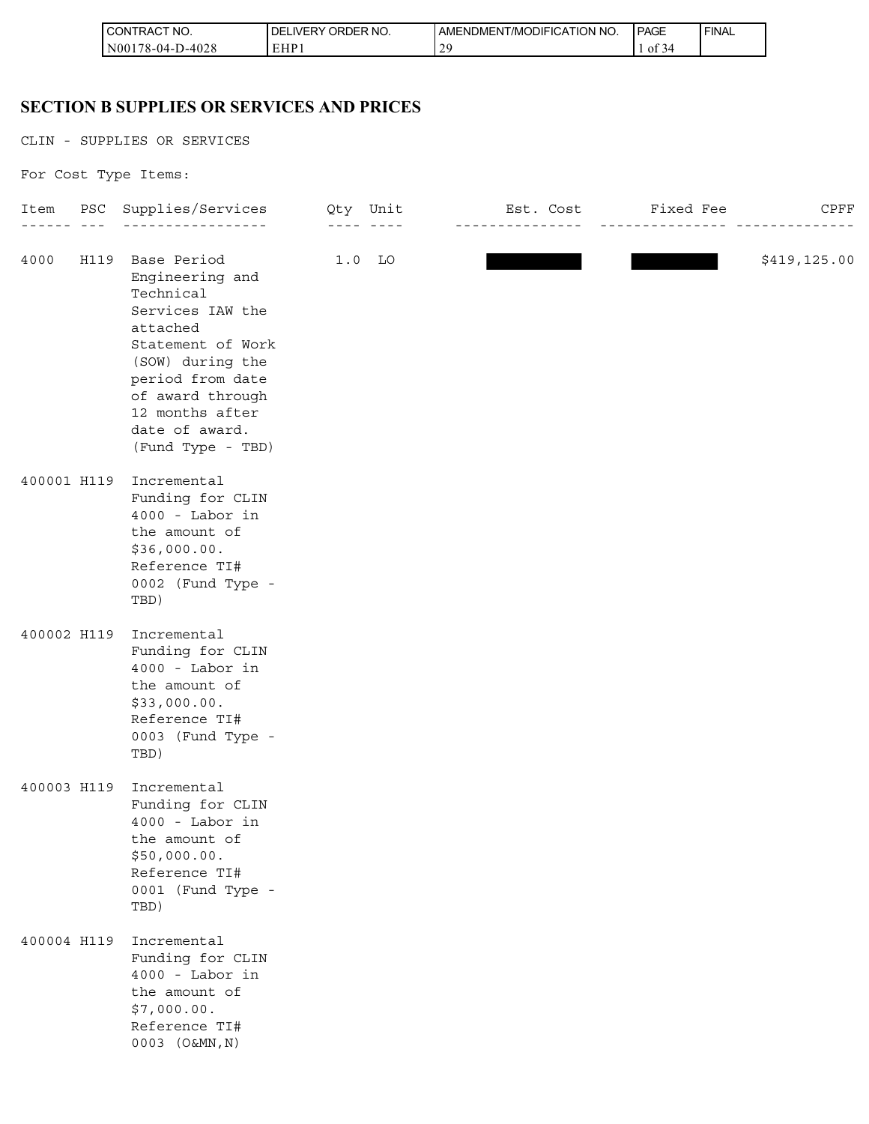| <b>I CONTRACT NO.</b>                        | ORDER NO.<br><b>DELIVERY</b> | AMENDMENT/MODIFICATION NO. | <b>PAGE</b>          | ' FINAL |
|----------------------------------------------|------------------------------|----------------------------|----------------------|---------|
| D-4028<br>$\overline{N00}$<br>$178 - 04 - L$ | FHP.<br>L 1 1 1              | n c                        | $\sim$<br>- OT<br>≺⊿ |         |

# **SECTION B SUPPLIES OR SERVICES AND PRICES**

|             | CONTRACT NO.<br>N00178-04-D-4028                                                                                                                                                                                            | DELIVERY ORDER NO.<br>EHP1 | AMENDMENT/MODIFICATION NO.<br>29 | PAGE<br>1 of 34 | FINAL |              |
|-------------|-----------------------------------------------------------------------------------------------------------------------------------------------------------------------------------------------------------------------------|----------------------------|----------------------------------|-----------------|-------|--------------|
|             |                                                                                                                                                                                                                             |                            |                                  |                 |       |              |
|             | <b>SECTION B SUPPLIES OR SERVICES AND PRICES</b>                                                                                                                                                                            |                            |                                  |                 |       |              |
|             | CLIN - SUPPLIES OR SERVICES                                                                                                                                                                                                 |                            |                                  |                 |       |              |
|             | For Cost Type Items:                                                                                                                                                                                                        |                            |                                  |                 |       |              |
| Item        | PSC Supplies/Services Qty Unit Mass Rist. Cost Marked Fee Rist CPFF<br>______ ___ ___________________                                                                                                                       |                            | _________________                |                 |       |              |
| 4000        | H119 Base Period<br>Engineering and<br>Technical<br>Services IAW the<br>attached<br>Statement of Work<br>(SOW) during the<br>period from date<br>of award through<br>12 months after<br>date of award.<br>(Fund Type - TBD) | $1.0$ LO                   |                                  |                 |       | \$419,125.00 |
| 400001 H119 | Incremental<br>Funding for CLIN<br>$4000 -$ Labor in<br>the amount of<br>\$36,000.00.<br>Reference TI#<br>0002 (Fund Type -<br>TBD)                                                                                         |                            |                                  |                 |       |              |
| 400002 H119 | Incremental<br>Funding for CLIN<br>$4000 -$ Labor in<br>the amount of<br>\$33,000.00.<br>Reference TI#<br>0003 (Fund Type -<br>TBD)                                                                                         |                            |                                  |                 |       |              |
| 400003 H119 | Incremental<br>Funding for CLIN<br>$4000 -$ Labor in<br>the amount of<br>\$50,000.00.<br>Reference TI#<br>0001 (Fund Type -<br>TBD)                                                                                         |                            |                                  |                 |       |              |
| 400004 H119 | Incremental<br>Funding for CLIN<br>$4000 -$ Labor in<br>the amount of<br>\$7,000.00.<br>Reference TI#<br>0003 (O&MN, N)                                                                                                     |                            |                                  |                 |       |              |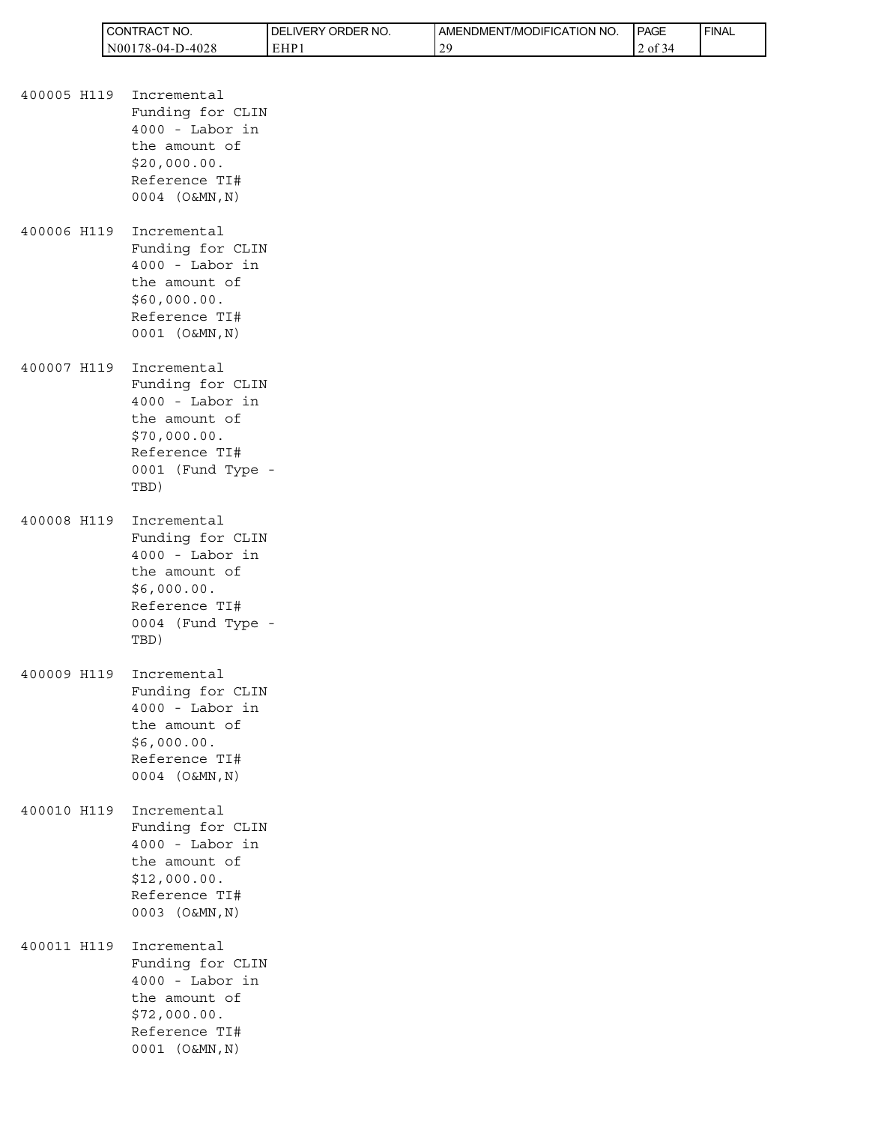| <b>I CONTRACT NO.</b> | I DELIVERY ORDER NO. | AMENDMENT/MODIFICATION NO. | <b>I PAGE</b> | ' FINAL |
|-----------------------|----------------------|----------------------------|---------------|---------|
| $N00178-04-D-4028$    | EHP:                 | 20                         | 2 of 34       |         |

|             | CONTRACT NO.<br>N00178-04-D-4028                                                                                                  |  |
|-------------|-----------------------------------------------------------------------------------------------------------------------------------|--|
|             |                                                                                                                                   |  |
| 400005 H119 | Incremental<br>Funding for CLIN<br>$4000 -$ Labor in<br>the amount of<br>\$20,000.00.<br>Reference TI#<br>0004 (O&MN, N)          |  |
| 400006 H119 | Incremental<br>Funding for CLIN<br>$4000 -$ Labor in<br>the amount of<br>\$60,000.00.<br>Reference TI#<br>0001 (O&MN, N)          |  |
| 400007 H119 | Incremental<br>Funding for CLIN<br>$4000 -$ Labor in<br>the amount of<br>\$70,000.00.<br>Reference TI#<br>0001 (Fund Type<br>TBD) |  |
| 400008 H119 | Incremental<br>Funding for CLIN<br>$4000 -$ Labor in<br>the amount of<br>\$6,000.00.<br>Reference TI#<br>0004 (Fund Type<br>TBD)  |  |
| 400009 H119 | Incremental<br>Funding for CLIN<br>$4000 -$ Labor in<br>the amount of<br>\$6,000.00.<br>Reference TI#<br>0004 (O&MN, N)           |  |
| 400010 H119 | Incremental<br>Funding for CLIN<br>$4000 -$ Labor in<br>the amount of<br>\$12,000.00.<br>Reference TI#<br>0003 (O&MN, N)          |  |
| 400011 H119 | Incremental<br>Funding for CLIN<br>$4000 -$ Labor in<br>the amount of<br>\$72,000.00.<br>Reference TI#<br>0001 (O&MN, N)          |  |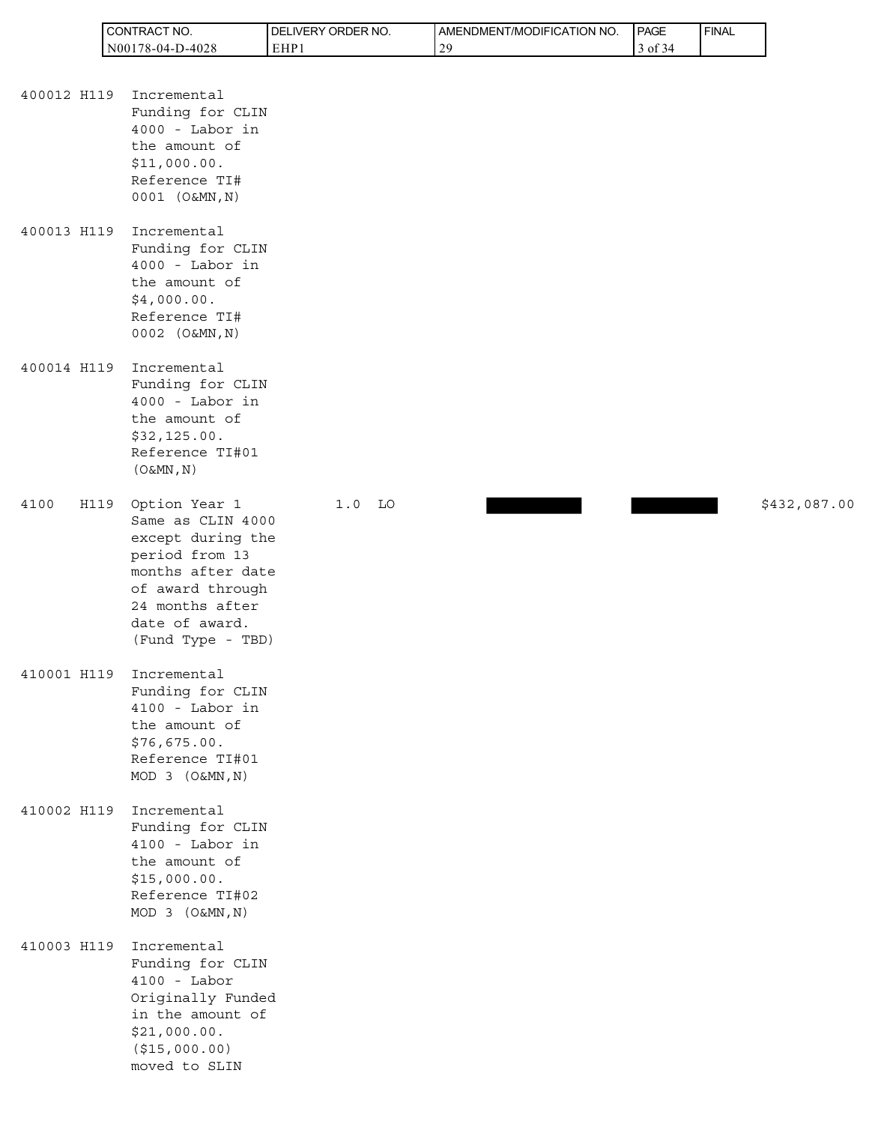| 'TRACT NO.<br><b>I</b> CONT | ORDER NO.<br><b>DELIVERY</b> | AMENDMENT/MODIFICATION NO. | <b>PAGE</b> | ' FINAL |
|-----------------------------|------------------------------|----------------------------|-------------|---------|
| 78-04-D-4028<br>N001        | EHP:                         | 20                         | 0Ī          |         |

| 400012 H119 | Incremental       |
|-------------|-------------------|
|             | Funding for CLIN  |
|             | $4000 -$ Labor in |
|             | the amount of     |
|             | \$11,000.00.      |
|             | Reference TI#     |
|             | 0001 (O&MN, N)    |

400013 H119 Incremental Funding for CLIN 4000 - Labor in the amount of \$4,000.00. Reference TI# 0002 (O&MN,N)

400014 H119 Incremental Funding for CLIN 4000 - Labor in the amount of \$32,125.00. Reference TI#01  $(O&MN,N)$ 

4100 H119 Option Year 1 1.0 LO **1.0 1.0 1.0 1.0 1.0 1.0** \$432,087.00 Same as CLIN 4000 except during the period from 13 months after date of award through 24 months after date of award. (Fund Type - TBD)

- 410001 H119 Incremental Funding for CLIN 4100 - Labor in the amount of \$76,675.00. Reference TI#01 MOD 3 (O&MN,N)
- 410002 H119 Incremental Funding for CLIN 4100 - Labor in the amount of \$15,000.00. Reference TI#02 MOD 3 (O&MN,N)

410003 H119 Incremental Funding for CLIN 4100 - Labor Originally Funded in the amount of \$21,000.00. (\$15,000.00) moved to SLIN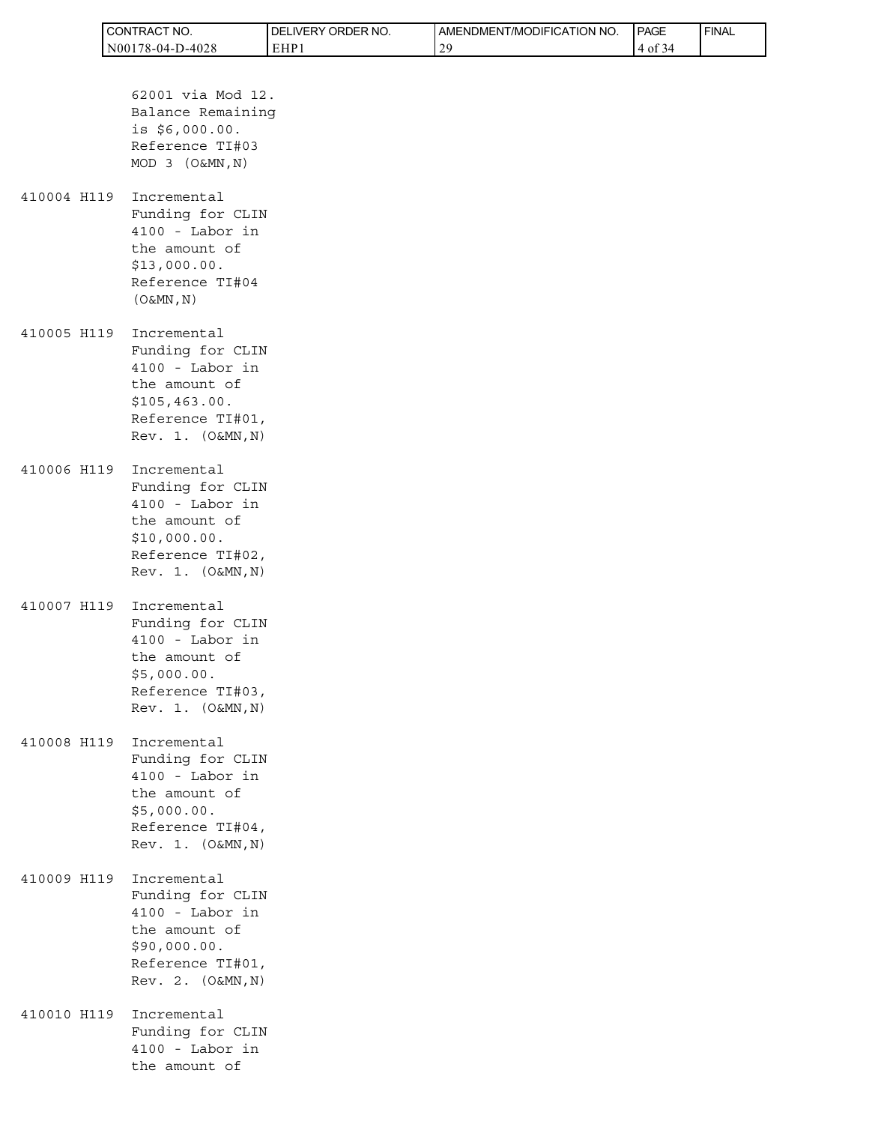|             | CONTRACT NO.<br>N00178-04-D-4028                                                                                                | DELIVERY ORDER NO.<br>EHP1 | AMENDMENT/MODIFICATION NO.<br>29 | PAGE<br>4 of 34 | <b>FINAL</b> |
|-------------|---------------------------------------------------------------------------------------------------------------------------------|----------------------------|----------------------------------|-----------------|--------------|
|             |                                                                                                                                 |                            |                                  |                 |              |
|             | 62001 via Mod 12.<br>Balance Remaining<br>is \$6,000.00.<br>Reference TI#03<br>MOD 3 (O&MN, N)                                  |                            |                                  |                 |              |
| 410004 H119 | Incremental<br>Funding for CLIN<br>$4100 -$ Labor in<br>the amount of<br>\$13,000.00.<br>Reference TI#04<br>(O&MN, N)           |                            |                                  |                 |              |
| 410005 H119 | Incremental<br>Funding for CLIN<br>$4100 -$ Labor in<br>the amount of<br>\$105,463.00.<br>Reference TI#01,<br>Rev. 1. (O&MN, N) |                            |                                  |                 |              |
| 410006 H119 | Incremental<br>Funding for CLIN<br>$4100 -$ Labor in<br>the amount of<br>\$10,000.00.<br>Reference TI#02,<br>Rev. 1. (O&MN, N)  |                            |                                  |                 |              |
| 410007 H119 | Incremental<br>Funding for CLIN<br>$4100 -$ Labor in<br>the amount of<br>\$5,000.00.<br>Reference TI#03,<br>Rev. 1. (O&MN, N)   |                            |                                  |                 |              |
| 410008 H119 | Incremental<br>Funding for CLIN<br>4100 - Labor in<br>the amount of<br>\$5,000.00.<br>Reference TI#04,<br>Rev. 1. (O&MN, N)     |                            |                                  |                 |              |
| 410009 H119 | Incremental<br>Funding for CLIN<br>4100 - Labor in<br>the amount of<br>\$90,000.00.<br>Reference TI#01,<br>Rev. 2. (O&MN, N)    |                            |                                  |                 |              |
| 410010 H119 | Incremental<br>Funding for CLIN<br>4100 - Labor in<br>the amount of                                                             |                            |                                  |                 |              |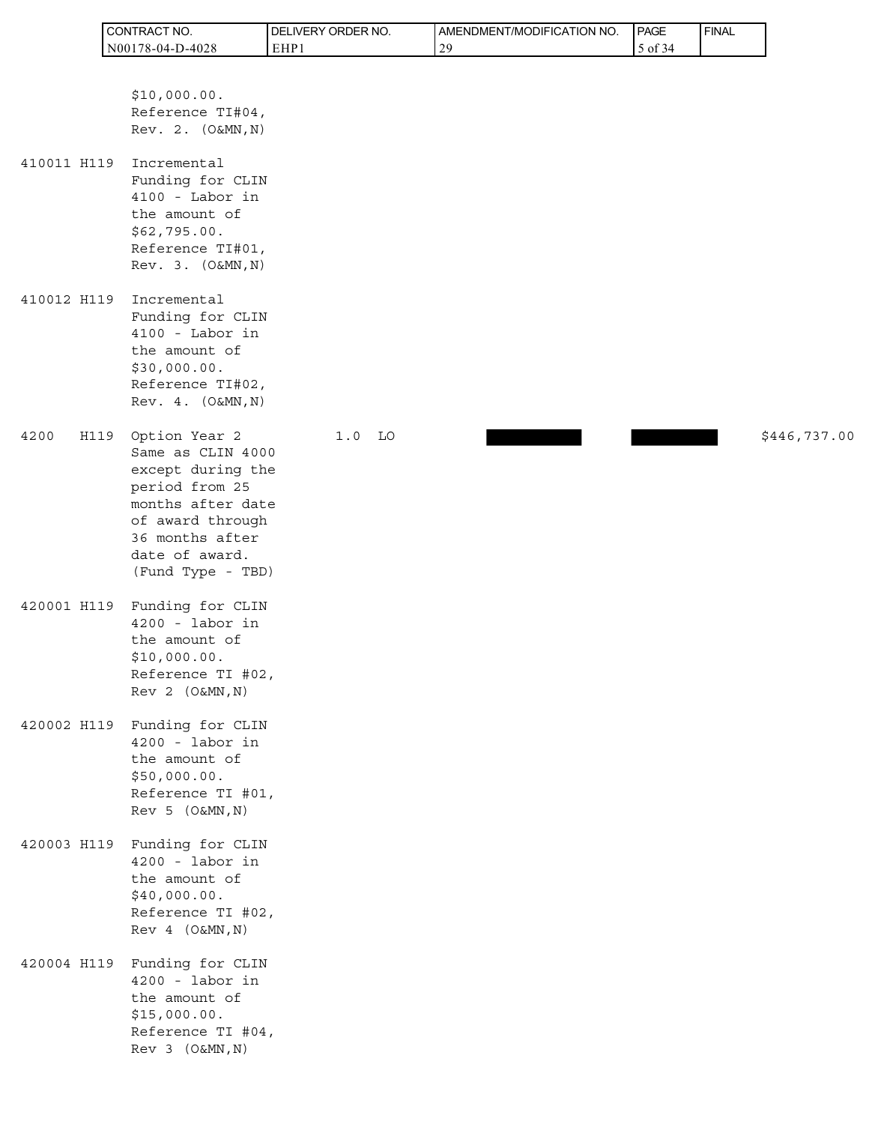|             | CONTRACT NO.                                                                                                                                                                         | DELIVERY ORDER NO. | AMENDMENT/MODIFICATION NO. | PAGE    | FINAL |              |
|-------------|--------------------------------------------------------------------------------------------------------------------------------------------------------------------------------------|--------------------|----------------------------|---------|-------|--------------|
|             | N00178-04-D-4028                                                                                                                                                                     | EHP1               | 29                         | 5 of 34 |       |              |
|             | \$10,000.00.<br>Reference TI#04,<br>Rev. 2. (O&MN, N)                                                                                                                                |                    |                            |         |       |              |
| 410011 H119 | Incremental<br>Funding for CLIN<br>4100 - Labor in<br>the amount of<br>\$62,795.00.<br>Reference TI#01,<br>Rev. 3. (O&MN, N)                                                         |                    |                            |         |       |              |
| 410012 H119 | Incremental<br>Funding for CLIN<br>4100 - Labor in<br>the amount of<br>\$30,000.00.<br>Reference TI#02,<br>Rev. 4. (O&MN, N)                                                         |                    |                            |         |       |              |
| 4200        | Option Year 2<br>H119<br>Same as CLIN 4000<br>except during the<br>period from 25<br>months after date<br>of award through<br>36 months after<br>date of award.<br>(Fund Type - TBD) | $1.0$ LO           |                            |         |       | \$446,737.00 |
| 420001 H119 | Funding for CLIN<br>$4200 -$ labor in<br>the amount of<br>\$10,000.00.<br>Reference TI #02,<br>Rev 2 (O&MN, N)                                                                       |                    |                            |         |       |              |
| 420002 H119 | Funding for CLIN<br>$4200 -$ labor in<br>the amount of<br>\$50,000.00.<br>Reference TI #01,<br>Rev 5 (O&MN, N)                                                                       |                    |                            |         |       |              |
| 420003 H119 | Funding for CLIN<br>$4200 -$ labor in<br>the amount of<br>\$40,000.00.<br>Reference TI #02,<br>Rev 4 (O&MN, N)                                                                       |                    |                            |         |       |              |
| 420004 H119 | Funding for CLIN<br>$4200 -$ labor in<br>the amount of<br>\$15,000.00.<br>Reference TI #04,<br>Rev 3 (O&MN, N)                                                                       |                    |                            |         |       |              |

h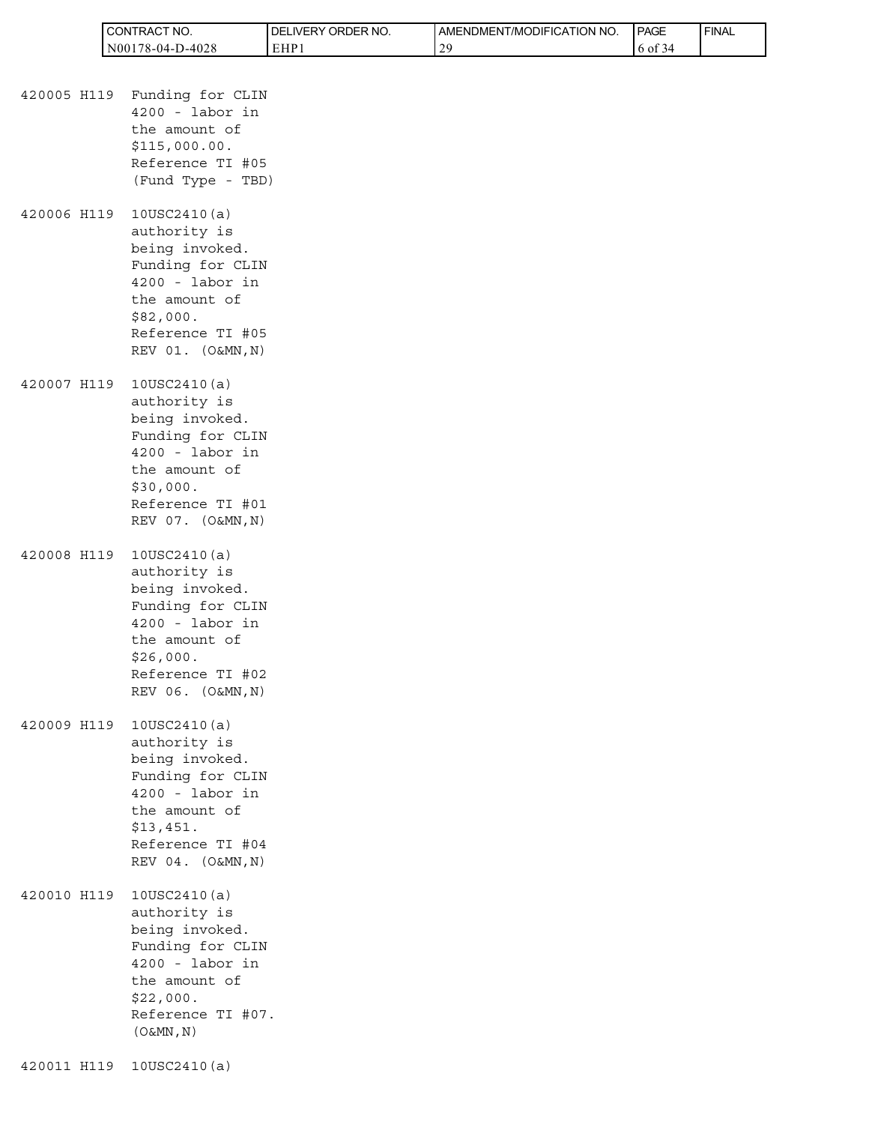| <b>I</b> CONTRACT<br>'NO. | <b>IDELIVERY ORDER NO.</b> | AMENDMENT/MODIFICATION<br>' NO | <b>PAGE</b> | ' FINAL |
|---------------------------|----------------------------|--------------------------------|-------------|---------|
| $N00178-04-D-4028$        | EHP1                       | 20                             | to of       |         |

- 420005 H119 Funding for CLIN 4200 - labor in the amount of \$115,000.00. Reference TI #05 (Fund Type - TBD) 420006 H119 10USC2410(a) authority is being invoked. Funding for CLIN 4200 - labor in the amount of \$82,000.
- 420007 H119 10USC2410(a) authority is being invoked. Funding for CLIN 4200 - labor in the amount of \$30,000. Reference TI #01 REV 07. (O&MN,N)

 Reference TI #05 REV 01. (O&MN,N)

- 420008 H119 10USC2410(a) authority is being invoked. Funding for CLIN 4200 - labor in the amount of \$26,000. Reference TI #02 REV 06. (O&MN,N)
- 420009 H119 10USC2410(a) authority is being invoked. Funding for CLIN 4200 - labor in the amount of \$13,451. Reference TI #04 REV 04. (O&MN,N)
- 420010 H119 10USC2410(a) authority is being invoked. Funding for CLIN 4200 - labor in the amount of \$22,000. Reference TI #07.  $(O&MN,N)$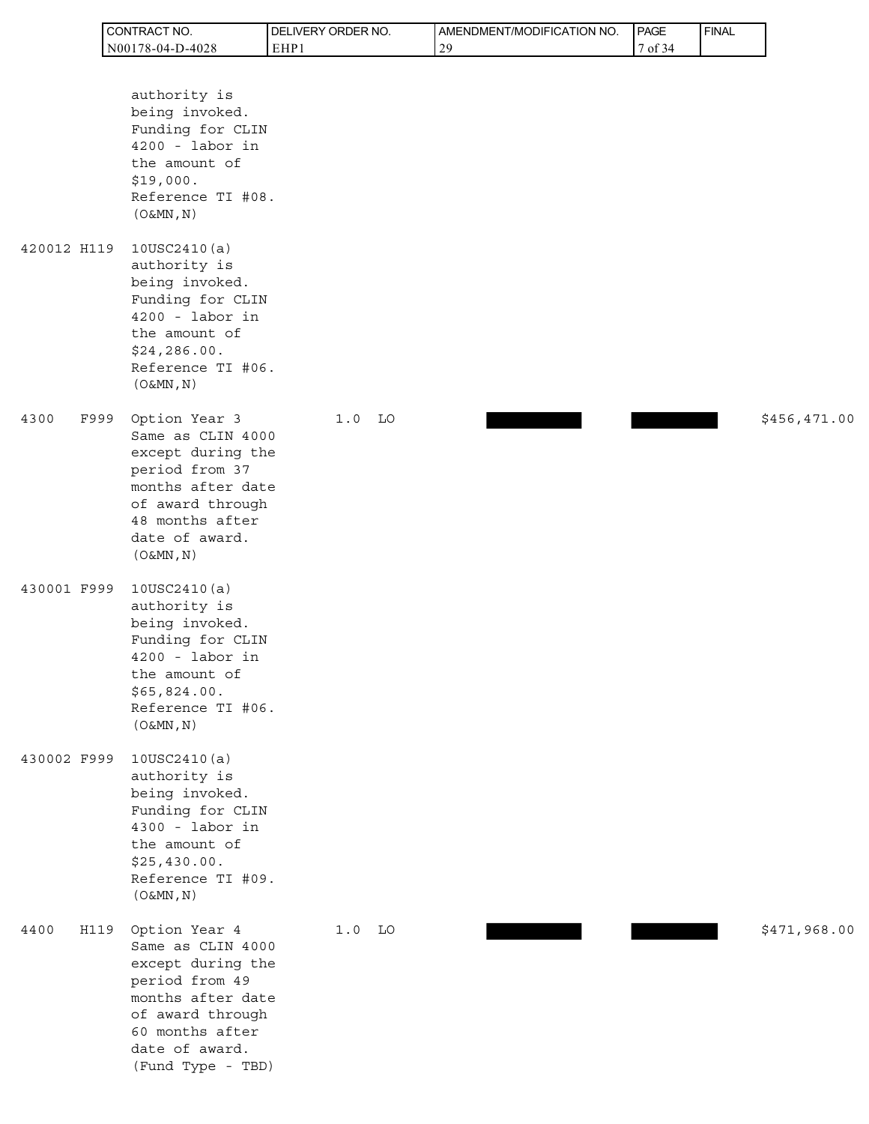| <b>CONTRACT</b><br>'NO. | <b>IDELIVERY ORDER NO.</b> | AMENDMENT/MODIFICATION NO. | PAGE                      | ' FINAL |
|-------------------------|----------------------------|----------------------------|---------------------------|---------|
| N00178-04-D-4028        | EHP                        | 20                         | $\prime$ of $\circ$<br>34 |         |

|             |      | authority is<br>being invoked.<br>Funding for CLIN<br>$4200 -$ labor in<br>the amount of<br>\$19,000.<br>Reference TI #08.<br>$(0 \& MN, N)$                              |          |  |  |              |
|-------------|------|---------------------------------------------------------------------------------------------------------------------------------------------------------------------------|----------|--|--|--------------|
| 420012 H119 |      | 10USC2410(a)<br>authority is<br>being invoked.<br>Funding for CLIN<br>$4200 -$ labor in<br>the amount of<br>\$24, 286.00.<br>Reference TI #06.<br>(O&MN, N)               |          |  |  |              |
| 4300        | F999 | Option Year 3<br>Same as CLIN 4000<br>except during the<br>period from 37<br>months after date<br>of award through<br>48 months after<br>date of award.<br>$(0 \& MN, N)$ | $1.0$ LO |  |  | \$456,471.00 |
| 430001 F999 |      | 10USC2410(a)<br>authority is<br>being invoked.<br>Funding for CLIN<br>$4200 -$ labor in<br>the amount of<br>\$65,824.00.<br>Reference TI #06.<br>$(0 \& MN, N)$           |          |  |  |              |
| 430002 F999 |      | 10USC2410(a)<br>authority is<br>being invoked.<br>Funding for CLIN<br>$4300 -$ labor in<br>the amount of<br>\$25,430.00.<br>Reference TI #09.<br>$(0 \& MN, N)$           |          |  |  |              |
| 4400        | H119 | Option Year 4<br>Same as CLIN 4000<br>except during the<br>period from 49<br>months after date<br>of award through<br>60 months after<br>date of award.                   | $1.0$ LO |  |  | \$471,968.00 |

(Fund Type - TBD)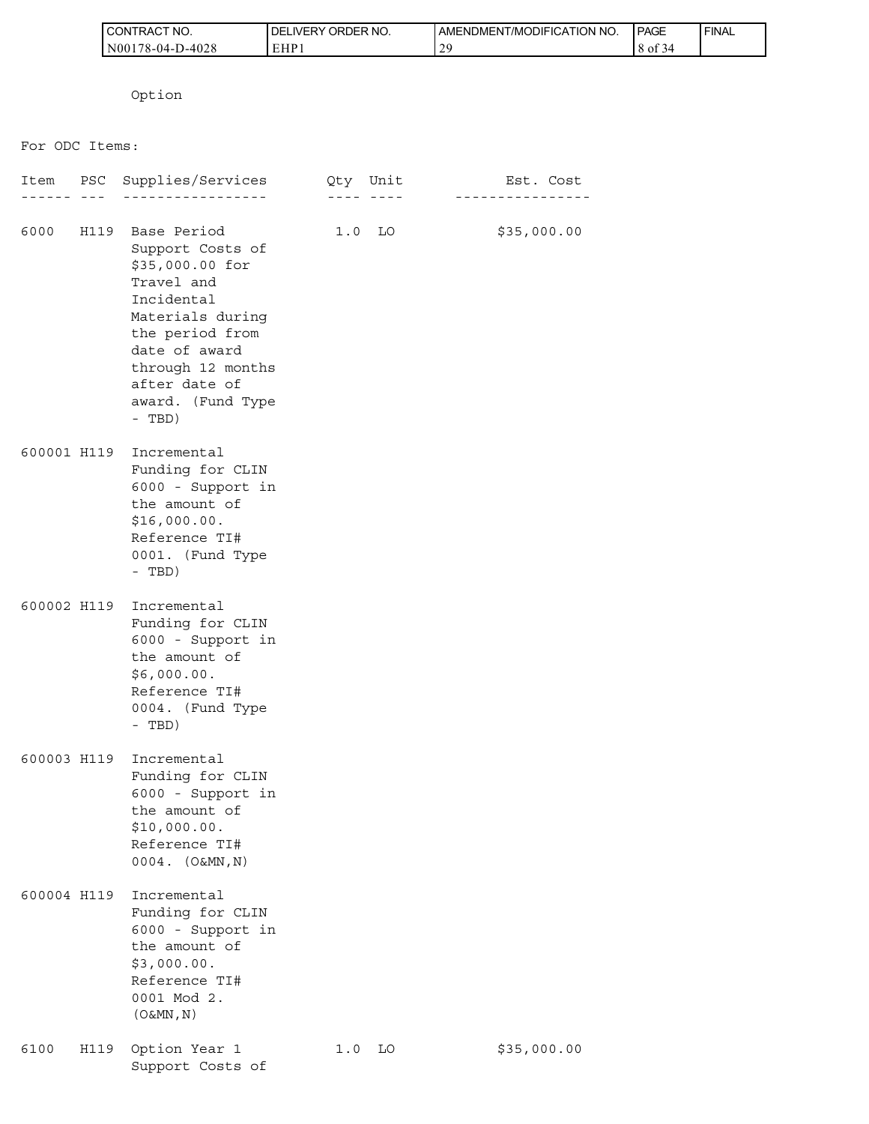| I CONTRACT NO.   | <b>I DELIVERY ORDER NO.</b> | I AMENDMENT/MODIFICATION NO. | PAGE       | ' FINAL |
|------------------|-----------------------------|------------------------------|------------|---------|
| N00178-04-D-4028 | EHP.                        | $\gamma c$<br><b>__</b>      | 8 of<br>14 |         |

Option

For ODC Items:

|             |      | Item PSC Supplies/Services                                                                                                                                                                                            | Qty Unit |          | Est. Cost<br>- - - - - - - - - - |
|-------------|------|-----------------------------------------------------------------------------------------------------------------------------------------------------------------------------------------------------------------------|----------|----------|----------------------------------|
|             |      | 6000 H119 Base Period<br>Support Costs of<br>\$35,000.00 for<br>Travel and<br>Incidental<br>Materials during<br>the period from<br>date of award<br>through 12 months<br>after date of<br>award. (Fund Type<br>- TBD) |          | $1.0$ LO | \$35,000.00                      |
| 600001 H119 |      | Incremental<br>Funding for CLIN<br>6000 - Support in<br>the amount of<br>\$16,000.00.<br>Reference TI#<br>0001. (Fund Type<br>- TBD)                                                                                  |          |          |                                  |
| 600002 H119 |      | Incremental<br>Funding for CLIN<br>6000 - Support in<br>the amount of<br>\$6,000.00.<br>Reference TI#<br>0004. (Fund Type<br>- TBD)                                                                                   |          |          |                                  |
| 600003 H119 |      | Incremental<br>Funding for CLIN<br>6000 - Support in<br>the amount of<br>\$10,000.00.<br>Reference TI#<br>$0004.$ $(O&MN,N)$                                                                                          |          |          |                                  |
| 600004 H119 |      | Incremental<br>Funding for CLIN<br>6000 - Support in<br>the amount of<br>\$3,000.00.<br>Reference TI#<br>0001 Mod 2.<br>$(0 \& MN, N)$                                                                                |          |          |                                  |
| 6100        | H119 | Option Year 1<br>Support Costs of                                                                                                                                                                                     | 1.0      | LO       | \$35,000.00                      |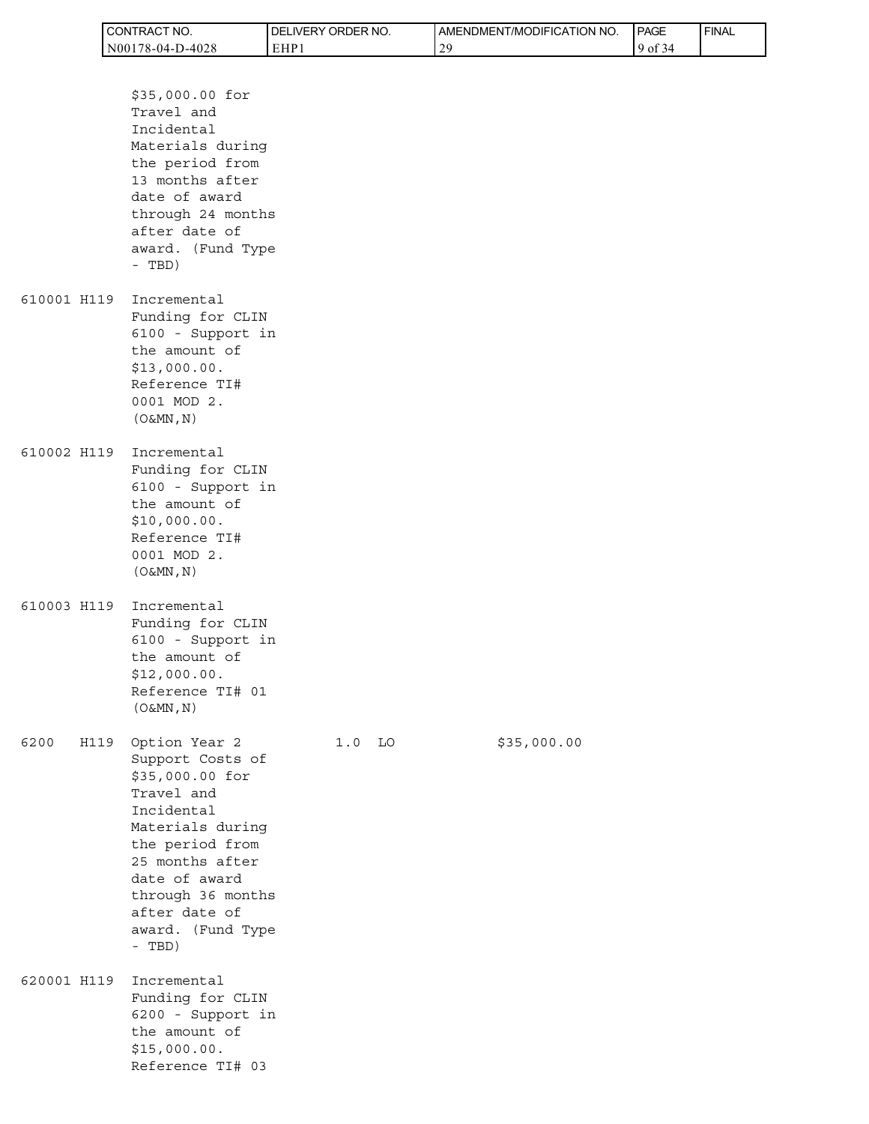| CONTRACT<br>'NO.      | ' ORDER NO.<br><b>DELIVERY</b> | AMENDMENT/MODIFICATION NO. | <b>I PAGE</b>          | ' FINAL |
|-----------------------|--------------------------------|----------------------------|------------------------|---------|
| D-4028<br>N00178-04-1 | EHP1                           | 2G                         | $\sim$ $\sim$<br>-9 of |         |

|             |      | \$35,000.00 for<br>Travel and<br>Incidental<br>Materials during<br>the period from<br>13 months after<br>date of award<br>through 24 months<br>after date of<br>award. (Fund Type<br>- TBD)                                      |          |             |
|-------------|------|----------------------------------------------------------------------------------------------------------------------------------------------------------------------------------------------------------------------------------|----------|-------------|
|             |      | 610001 H119 Incremental<br>Funding for CLIN<br>6100 - Support in<br>the amount of<br>\$13,000.00.<br>Reference TI#<br>0001 MOD 2.<br>$(0\&MN, N)$                                                                                |          |             |
|             |      | 610002 H119 Incremental<br>Funding for CLIN<br>6100 - Support in<br>the amount of<br>\$10,000.00.<br>Reference TI#<br>0001 MOD 2.<br>$(0\&MN, N)$                                                                                |          |             |
| 610003 H119 |      | Incremental<br>Funding for CLIN<br>6100 - Support in<br>the amount of<br>\$12,000.00.<br>Reference TI# 01<br>$(\circ$ &MN, N)                                                                                                    |          |             |
| 6200        | H119 | Option Year 2<br>Support Costs of<br>\$35,000.00 for<br>Travel and<br>Incidental<br>Materials during<br>the period from<br>25 months after<br>date of award<br>through 36 months<br>after date of<br>award. (Fund Type<br>- TBD) | $1.0$ LO | \$35,000.00 |
| 620001 H119 |      | Incremental<br>Funding for CLIN<br>6200 - Support in<br>the amount of<br>\$15,000.00.<br>Reference TI# 03                                                                                                                        |          |             |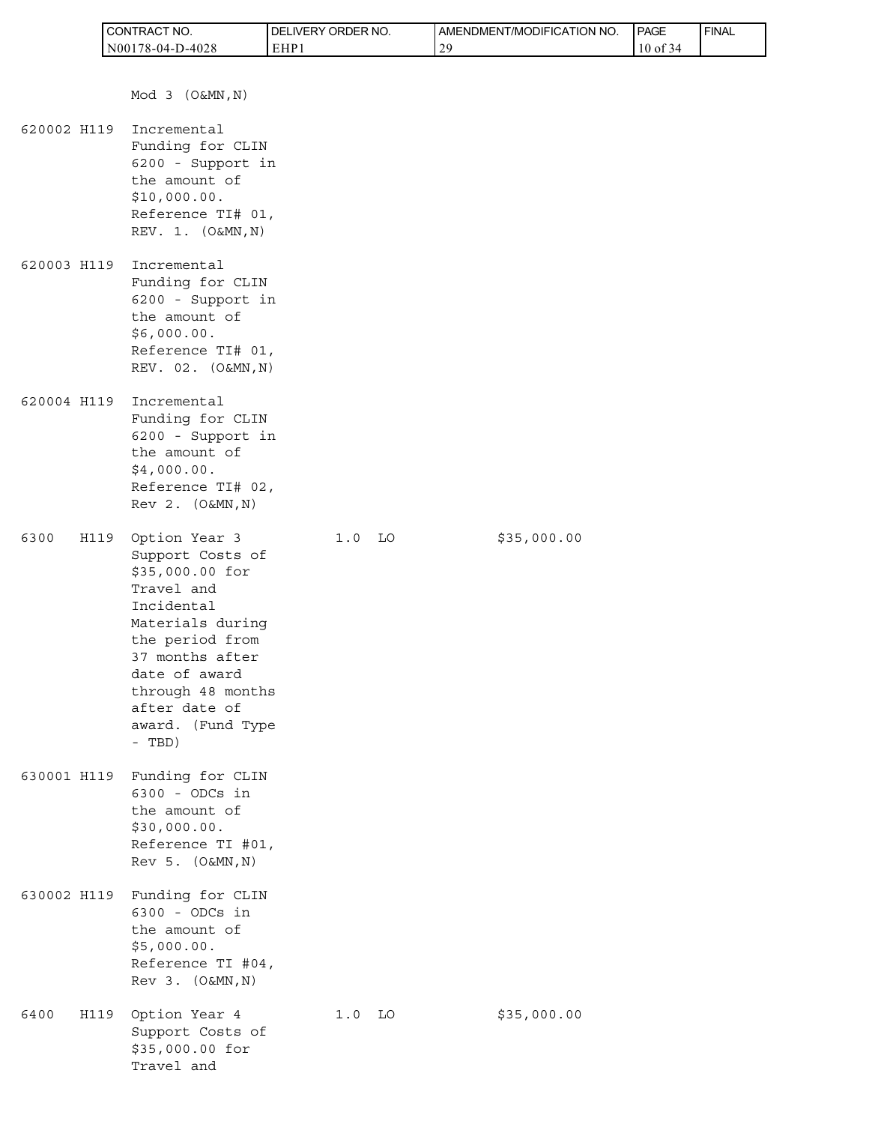|             |      | CONTRACT NO.                                                                                                                                                                                                                     | DELIVERY ORDER NO. |          | AMENDMENT/MODIFICATION NO. |             | PAGE     | <b>FINAL</b> |
|-------------|------|----------------------------------------------------------------------------------------------------------------------------------------------------------------------------------------------------------------------------------|--------------------|----------|----------------------------|-------------|----------|--------------|
|             |      | N00178-04-D-4028                                                                                                                                                                                                                 | EHP1               |          | 29                         |             | 10 of 34 |              |
|             |      | Mod 3 (O&MN, N)                                                                                                                                                                                                                  |                    |          |                            |             |          |              |
| 620002 H119 |      | Incremental<br>Funding for CLIN<br>6200 - Support in<br>the amount of<br>\$10,000.00.<br>Reference TI# 01,<br>REV. 1. (O&MN, N)                                                                                                  |                    |          |                            |             |          |              |
| 620003 H119 |      | Incremental<br>Funding for CLIN<br>6200 - Support in<br>the amount of<br>\$6,000.00.<br>Reference TI# 01,<br>REV. 02. (O&MN, N)                                                                                                  |                    |          |                            |             |          |              |
| 620004 H119 |      | Incremental<br>Funding for CLIN<br>6200 - Support in<br>the amount of<br>\$4,000.00.<br>Reference TI# 02,<br>Rev 2. (O&MN, N)                                                                                                    |                    |          |                            |             |          |              |
| 6300        | H119 | Option Year 3<br>Support Costs of<br>\$35,000.00 for<br>Travel and<br>Incidental<br>Materials during<br>the period from<br>37 months after<br>date of award<br>through 48 months<br>after date of<br>award. (Fund Type<br>- TBD) | $1.0$ LO           |          |                            | \$35,000.00 |          |              |
|             |      | 630001 H119 Funding for CLIN<br>6300 - ODCs in<br>the amount of<br>\$30,000.00.<br>Reference TI #01,<br>Rev 5. (O&MN, N)                                                                                                         |                    |          |                            |             |          |              |
|             |      | 630002 H119 Funding for CLIN<br>6300 - ODCs in<br>the amount of<br>\$5,000.00.<br>Reference TI #04,<br>Rev 3. (O&MN, N)                                                                                                          |                    |          |                            |             |          |              |
| 6400        |      | H119 Option Year 4<br>Support Costs of<br>\$35,000.00 for<br>Travel and                                                                                                                                                          |                    | $1.0$ LO |                            | \$35,000.00 |          |              |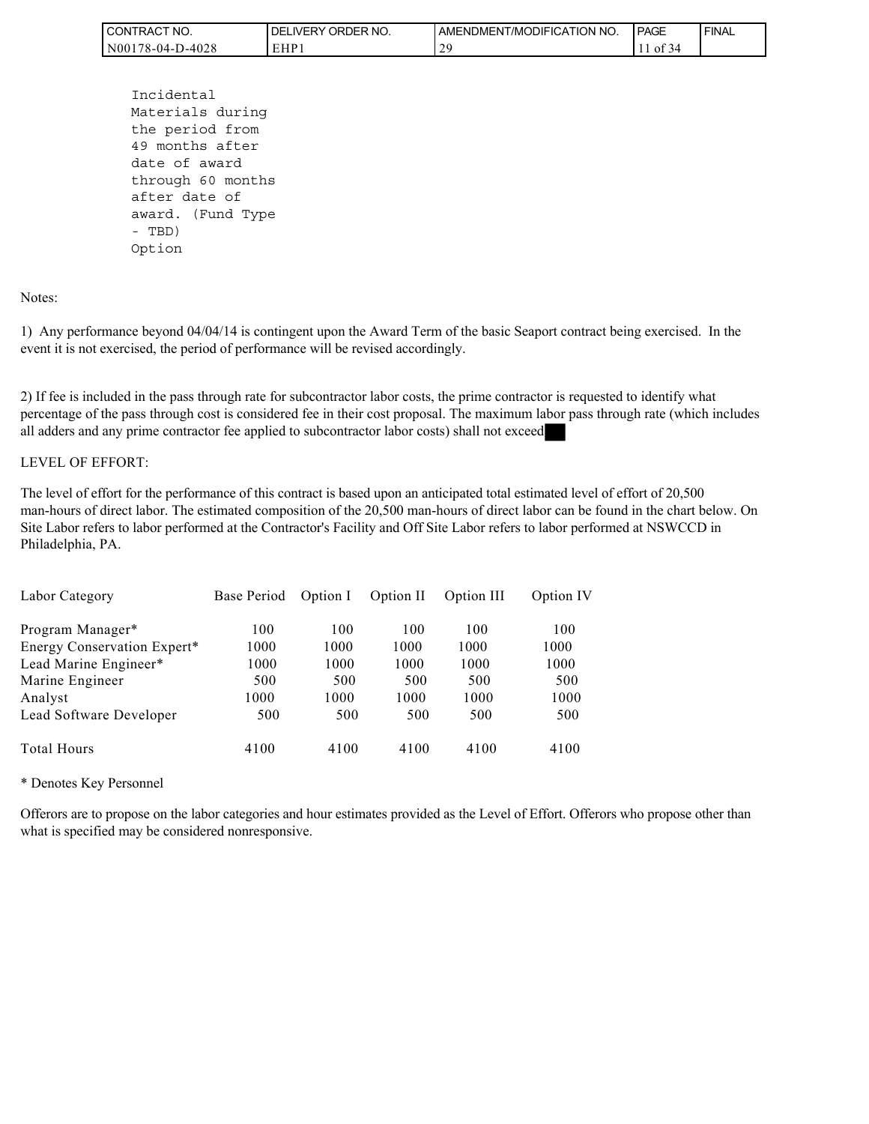| " NO.<br><b>CONTRAC</b> | ORDER NO.<br>' DEL<br>_IVERY | I AMENDMENT/MODIFICATION NO. | <b>I PAGE</b> | ' FINAL |
|-------------------------|------------------------------|------------------------------|---------------|---------|
| $NO0178-04-D-4028$      | <b>EHD</b>                   | $\gamma$<br>-                | - OI<br>≺∠    |         |

```
 Incidental 
Materials during 
the period from 
49 months after 
date of award 
through 60 months 
after date of 
award. (Fund Type 
- TBD) 
Option
```
Notes:

1) Any performance beyond 04/04/14 is contingent upon the Award Term of the basic Seaport contract being exercised. In the event it is not exercised, the period of performance will be revised accordingly.

2) If fee is included in the pass through rate for subcontractor labor costs, the prime contractor is requested to identify what percentage of the pass through cost is considered fee in their cost proposal. The maximum labor pass through rate (which includes all adders and any prime contractor fee applied to subcontractor labor costs) shall not exceed

#### LEVEL OF EFFORT:

The level of effort for the performance of this contract is based upon an anticipated total estimated level of effort of 20,500 man-hours of direct labor. The estimated composition of the 20,500 man-hours of direct labor can be found in the chart below. On Site Labor refers to labor performed at the Contractor's Facility and Off Site Labor refers to labor performed at NSWCCD in Philadelphia, PA.

| Labor Category              | Base Period | Option I | Option II | Option III | Option IV |
|-----------------------------|-------------|----------|-----------|------------|-----------|
| Program Manager*            | 100         | 100      | 100       | 100        | 100       |
| Energy Conservation Expert* | 1000        | 1000     | 1000      | 1000       | 1000      |
| Lead Marine Engineer*       | 1000        | 1000     | 1000      | 1000       | 1000      |
| Marine Engineer             | 500         | 500      | 500       | 500        | 500       |
| Analyst                     | 1000        | 1000     | 1000      | 1000       | 1000      |
| Lead Software Developer     | 500         | 500      | 500       | 500        | 500       |
| <b>Total Hours</b>          | 4100        | 4100     | 4100      | 4100       | 4100      |

\* Denotes Key Personnel

Offerors are to propose on the labor categories and hour estimates provided as the Level of Effort. Offerors who propose other than what is specified may be considered nonresponsive.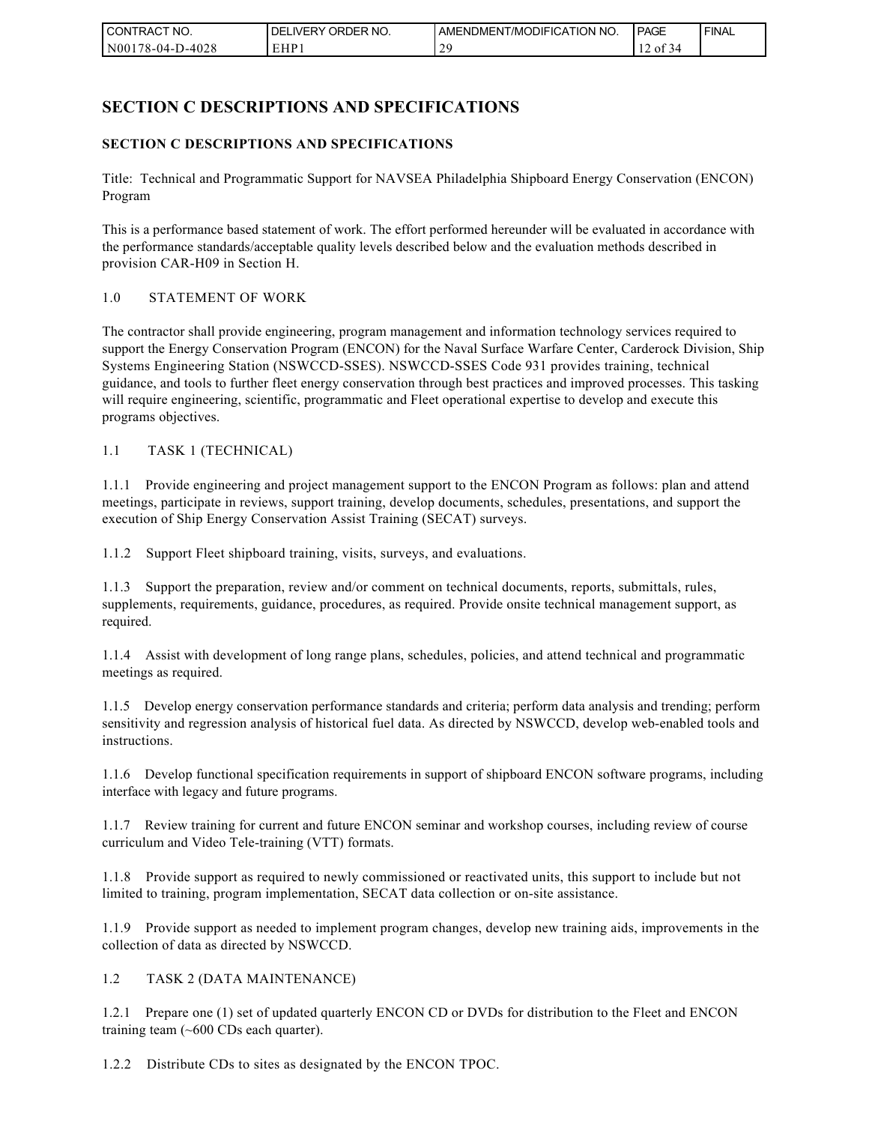| I CONTRACT NO.   | ' ORDER NO.<br><b>DELIVERY</b> | AMENDMENT/MODIFICATION NO. | <b>PAGE</b>                      | ' FINAL |
|------------------|--------------------------------|----------------------------|----------------------------------|---------|
| N00178-04-D-4028 | EHP 1                          |                            | $\sim$ $\sim$<br>-01<br>-44<br>◡ |         |

# **SECTION C DESCRIPTIONS AND SPECIFICATIONS**

### **SECTION C DESCRIPTIONS AND SPECIFICATIONS**

Title: Technical and Programmatic Support for NAVSEA Philadelphia Shipboard Energy Conservation (ENCON) Program

This is a performance based statement of work. The effort performed hereunder will be evaluated in accordance with the performance standards/acceptable quality levels described below and the evaluation methods described in provision CAR-H09 in Section H.

#### 1.0 STATEMENT OF WORK

The contractor shall provide engineering, program management and information technology services required to support the Energy Conservation Program (ENCON) for the Naval Surface Warfare Center, Carderock Division, Ship Systems Engineering Station (NSWCCD-SSES). NSWCCD-SSES Code 931 provides training, technical guidance, and tools to further fleet energy conservation through best practices and improved processes. This tasking will require engineering, scientific, programmatic and Fleet operational expertise to develop and execute this programs objectives.

1.1 TASK 1 (TECHNICAL)

1.1.1 Provide engineering and project management support to the ENCON Program as follows: plan and attend meetings, participate in reviews, support training, develop documents, schedules, presentations, and support the execution of Ship Energy Conservation Assist Training (SECAT) surveys.

1.1.2 Support Fleet shipboard training, visits, surveys, and evaluations.

1.1.3 Support the preparation, review and/or comment on technical documents, reports, submittals, rules, supplements, requirements, guidance, procedures, as required. Provide onsite technical management support, as required.

1.1.4 Assist with development of long range plans, schedules, policies, and attend technical and programmatic meetings as required.

1.1.5 Develop energy conservation performance standards and criteria; perform data analysis and trending; perform sensitivity and regression analysis of historical fuel data. As directed by NSWCCD, develop web-enabled tools and instructions.

1.1.6 Develop functional specification requirements in support of shipboard ENCON software programs, including interface with legacy and future programs.

1.1.7 Review training for current and future ENCON seminar and workshop courses, including review of course curriculum and Video Tele-training (VTT) formats.

1.1.8 Provide support as required to newly commissioned or reactivated units, this support to include but not limited to training, program implementation, SECAT data collection or on-site assistance.

1.1.9 Provide support as needed to implement program changes, develop new training aids, improvements in the collection of data as directed by NSWCCD.

1.2 TASK 2 (DATA MAINTENANCE)

1.2.1 Prepare one (1) set of updated quarterly ENCON CD or DVDs for distribution to the Fleet and ENCON training team (~600 CDs each quarter).

1.2.2 Distribute CDs to sites as designated by the ENCON TPOC.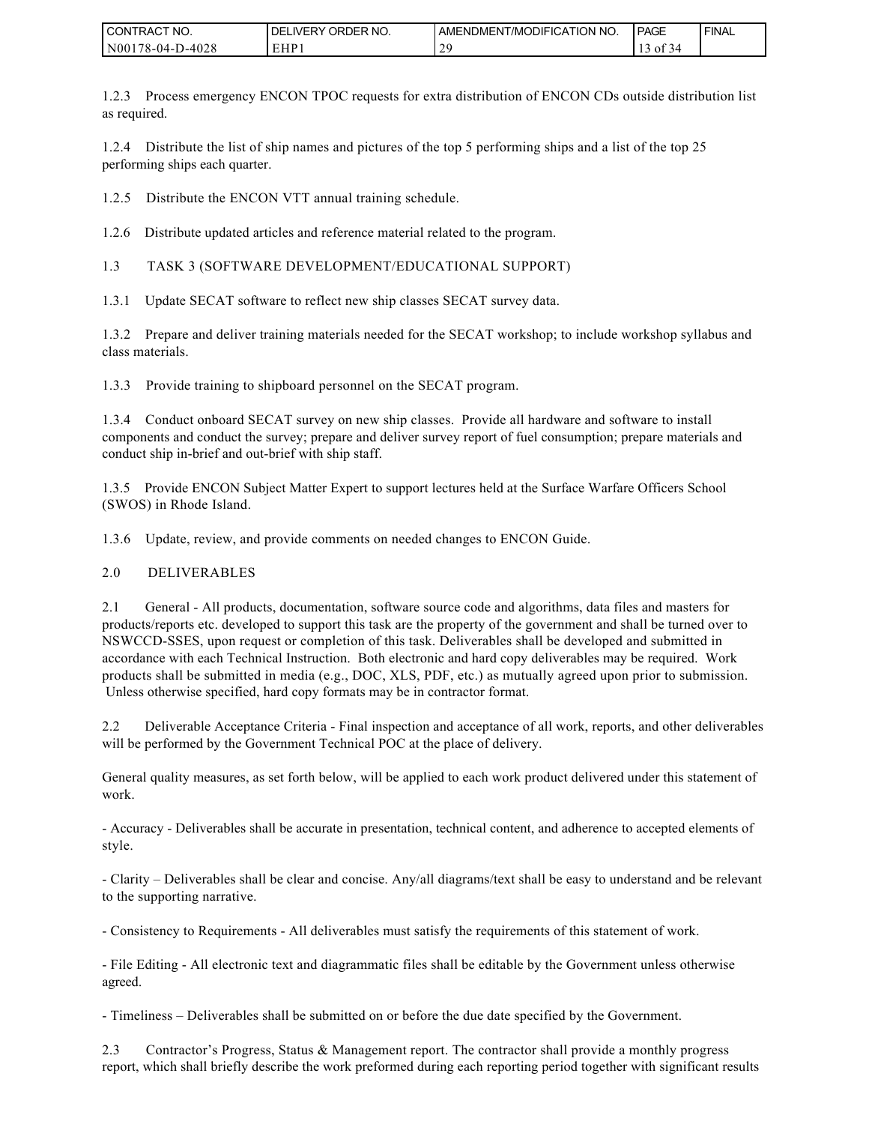| I CONTRACT NO.   | <b>IDELIVERY ORDER NO.</b> | LAMENDMENT/MODIFICATION NO. | <b>PAGE</b>    | ' FINAL |
|------------------|----------------------------|-----------------------------|----------------|---------|
| N00178-04-D-4028 | EHP 1                      | 20<br>-                     | $\sim$<br>of 3 |         |

1.2.3 Process emergency ENCON TPOC requests for extra distribution of ENCON CDs outside distribution list as required.

1.2.4 Distribute the list of ship names and pictures of the top 5 performing ships and a list of the top 25 performing ships each quarter.

1.2.5 Distribute the ENCON VTT annual training schedule.

1.2.6 Distribute updated articles and reference material related to the program.

1.3 TASK 3 (SOFTWARE DEVELOPMENT/EDUCATIONAL SUPPORT)

1.3.1 Update SECAT software to reflect new ship classes SECAT survey data.

1.3.2 Prepare and deliver training materials needed for the SECAT workshop; to include workshop syllabus and class materials.

1.3.3 Provide training to shipboard personnel on the SECAT program.

1.3.4 Conduct onboard SECAT survey on new ship classes. Provide all hardware and software to install components and conduct the survey; prepare and deliver survey report of fuel consumption; prepare materials and conduct ship in-brief and out-brief with ship staff.

1.3.5 Provide ENCON Subject Matter Expert to support lectures held at the Surface Warfare Officers School (SWOS) in Rhode Island.

1.3.6 Update, review, and provide comments on needed changes to ENCON Guide.

#### 2.0 DELIVERABLES

2.1 General - All products, documentation, software source code and algorithms, data files and masters for products/reports etc. developed to support this task are the property of the government and shall be turned over to NSWCCD-SSES, upon request or completion of this task. Deliverables shall be developed and submitted in accordance with each Technical Instruction. Both electronic and hard copy deliverables may be required. Work products shall be submitted in media (e.g., DOC, XLS, PDF, etc.) as mutually agreed upon prior to submission. Unless otherwise specified, hard copy formats may be in contractor format.

2.2 Deliverable Acceptance Criteria - Final inspection and acceptance of all work, reports, and other deliverables will be performed by the Government Technical POC at the place of delivery.

General quality measures, as set forth below, will be applied to each work product delivered under this statement of work.

- Accuracy - Deliverables shall be accurate in presentation, technical content, and adherence to accepted elements of style.

- Clarity – Deliverables shall be clear and concise. Any/all diagrams/text shall be easy to understand and be relevant to the supporting narrative.

- Consistency to Requirements - All deliverables must satisfy the requirements of this statement of work.

- File Editing - All electronic text and diagrammatic files shall be editable by the Government unless otherwise agreed.

- Timeliness – Deliverables shall be submitted on or before the due date specified by the Government.

2.3 Contractor's Progress, Status & Management report. The contractor shall provide a monthly progress report, which shall briefly describe the work preformed during each reporting period together with significant results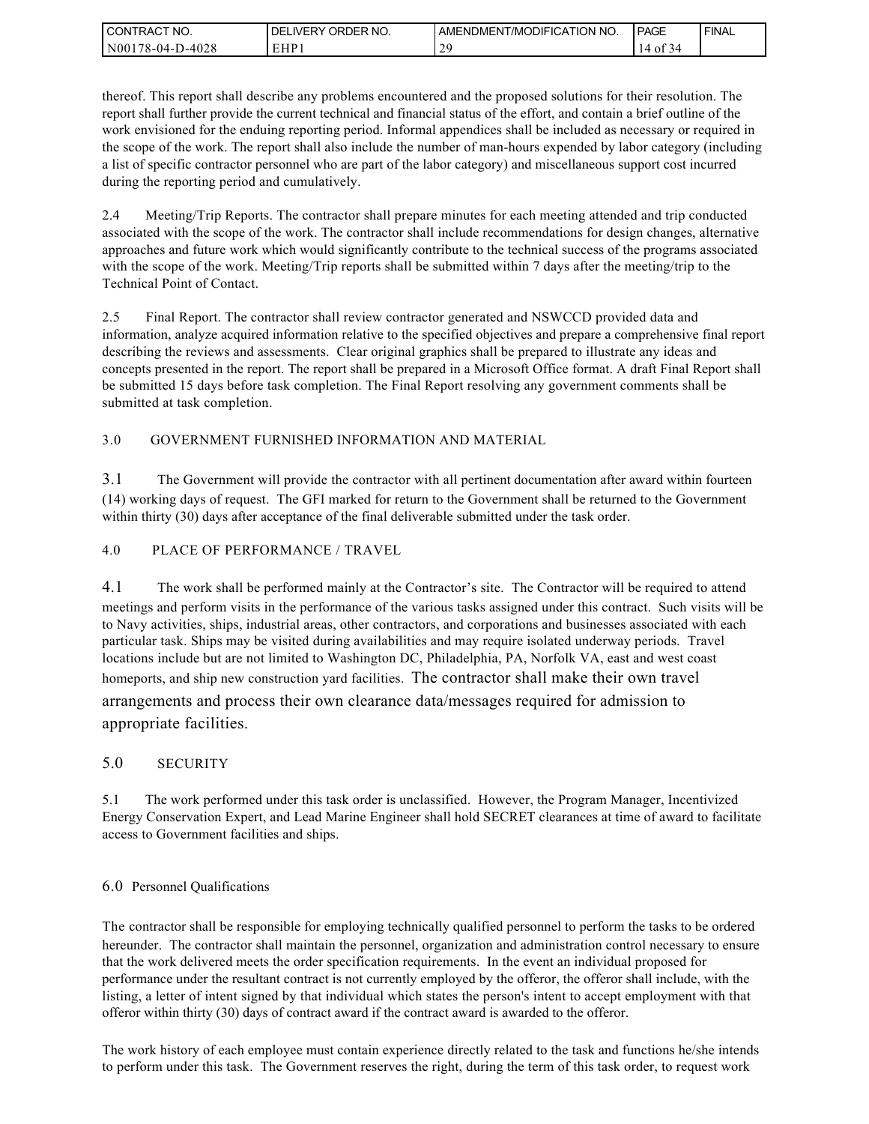| I CONTRACT NO.        | ' ORDER NO.<br><b>DELIVERY</b> | I AMENDMENT/MODIFICATION NO. | PAGE           | `FINAL |
|-----------------------|--------------------------------|------------------------------|----------------|--------|
| N001<br>178-04-D-4028 | EHP.                           |                              | Οİ<br>4،<br>i۷ |        |

thereof. This report shall describe any problems encountered and the proposed solutions for their resolution. The report shall further provide the current technical and financial status of the effort, and contain a brief outline of the work envisioned for the enduing reporting period. Informal appendices shall be included as necessary or required in the scope of the work. The report shall also include the number of man-hours expended by labor category (including a list of specific contractor personnel who are part of the labor category) and miscellaneous support cost incurred during the reporting period and cumulatively.

2.4 Meeting/Trip Reports. The contractor shall prepare minutes for each meeting attended and trip conducted associated with the scope of the work. The contractor shall include recommendations for design changes, alternative approaches and future work which would significantly contribute to the technical success of the programs associated with the scope of the work. Meeting/Trip reports shall be submitted within 7 days after the meeting/trip to the Technical Point of Contact.

2.5 Final Report. The contractor shall review contractor generated and NSWCCD provided data and information, analyze acquired information relative to the specified objectives and prepare a comprehensive final report describing the reviews and assessments. Clear original graphics shall be prepared to illustrate any ideas and concepts presented in the report. The report shall be prepared in a Microsoft Office format. A draft Final Report shall be submitted 15 days before task completion. The Final Report resolving any government comments shall be submitted at task completion.

3.0 GOVERNMENT FURNISHED INFORMATION AND MATERIAL

3.1 The Government will provide the contractor with all pertinent documentation after award within fourteen (14) working days of request. The GFI marked for return to the Government shall be returned to the Government within thirty (30) days after acceptance of the final deliverable submitted under the task order.

4.0 PLACE OF PERFORMANCE / TRAVEL

4.1 The work shall be performed mainly at the Contractor's site. The Contractor will be required to attend meetings and perform visits in the performance of the various tasks assigned under this contract. Such visits will be to Navy activities, ships, industrial areas, other contractors, and corporations and businesses associated with each particular task. Ships may be visited during availabilities and may require isolated underway periods. Travel locations include but are not limited to Washington DC, Philadelphia, PA, Norfolk VA, east and west coast homeports, and ship new construction yard facilities. The contractor shall make their own travel arrangements and process their own clearance data/messages required for admission to appropriate facilities.

### 5.0 SECURITY

5.1 The work performed under this task order is unclassified. However, the Program Manager, Incentivized Energy Conservation Expert, and Lead Marine Engineer shall hold SECRET clearances at time of award to facilitate access to Government facilities and ships.

#### 6.0 Personnel Qualifications

The contractor shall be responsible for employing technically qualified personnel to perform the tasks to be ordered hereunder. The contractor shall maintain the personnel, organization and administration control necessary to ensure that the work delivered meets the order specification requirements. In the event an individual proposed for performance under the resultant contract is not currently employed by the offeror, the offeror shall include, with the listing, a letter of intent signed by that individual which states the person's intent to accept employment with that offeror within thirty (30) days of contract award if the contract award is awarded to the offeror.

The work history of each employee must contain experience directly related to the task and functions he/she intends to perform under this task. The Government reserves the right, during the term of this task order, to request work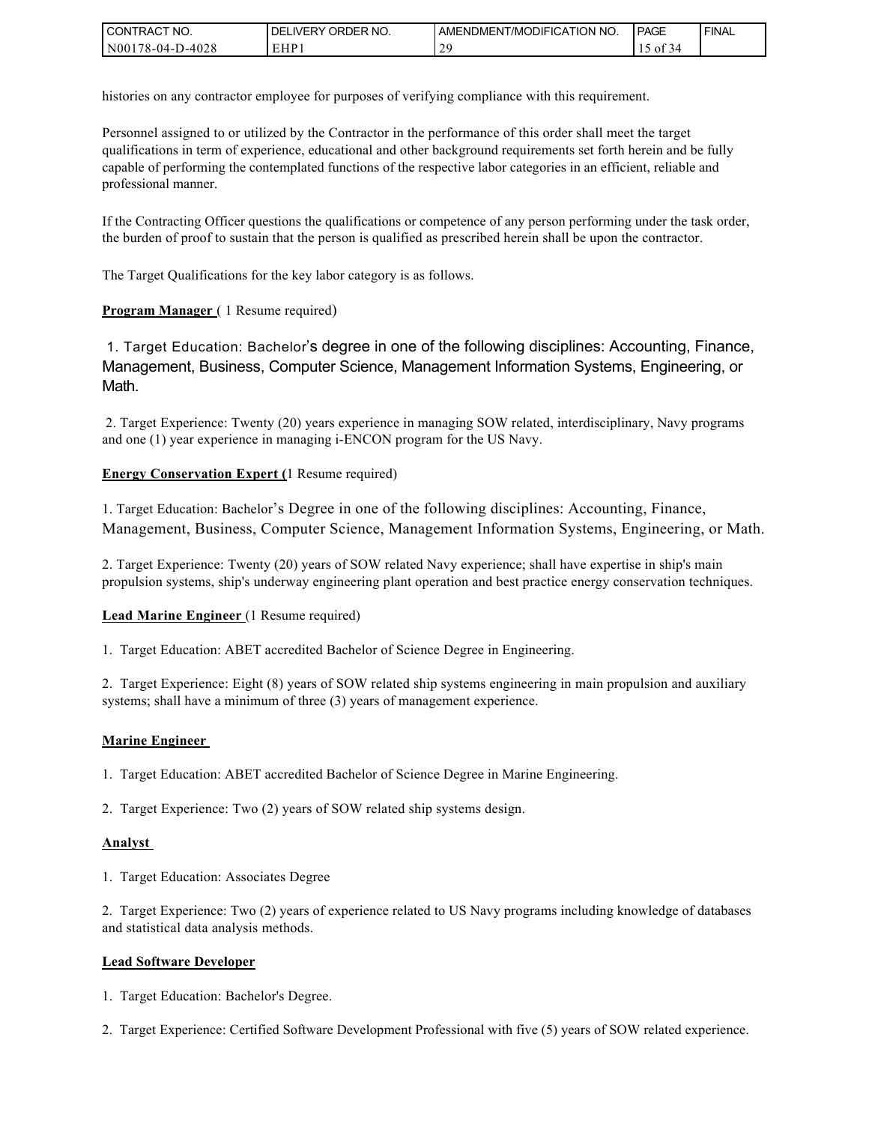| I CONTRACT NO.                   | NO.<br>' ORDER<br><b>DELIVERY</b> | AMENDMENT/MODIFICATION NO. | PAGE               | <b>I FINAL</b> |
|----------------------------------|-----------------------------------|----------------------------|--------------------|----------------|
| D-4028<br>1N00<br>$178 - 04 - L$ | EHP                               | $\cap$                     | $\sim$<br>ΟĪ<br>≺∠ |                |

histories on any contractor employee for purposes of verifying compliance with this requirement.

Personnel assigned to or utilized by the Contractor in the performance of this order shall meet the target qualifications in term of experience, educational and other background requirements set forth herein and be fully capable of performing the contemplated functions of the respective labor categories in an efficient, reliable and professional manner.

If the Contracting Officer questions the qualifications or competence of any person performing under the task order, the burden of proof to sustain that the person is qualified as prescribed herein shall be upon the contractor.

The Target Qualifications for the key labor category is as follows.

#### **Program Manager** (1 Resume required)

 1. Target Education: Bachelor's degree in one of the following disciplines: Accounting, Finance, Management, Business, Computer Science, Management Information Systems, Engineering, or Math.

 2. Target Experience: Twenty (20) years experience in managing SOW related, interdisciplinary, Navy programs and one (1) year experience in managing i-ENCON program for the US Navy.

#### **Energy Conservation Expert (**1 Resume required)

1. Target Education: Bachelor's Degree in one of the following disciplines: Accounting, Finance, Management, Business, Computer Science, Management Information Systems, Engineering, or Math.

2. Target Experience: Twenty (20) years of SOW related Navy experience; shall have expertise in ship's main propulsion systems, ship's underway engineering plant operation and best practice energy conservation techniques.

#### **Lead Marine Engineer** (1 Resume required)

1. Target Education: ABET accredited Bachelor of Science Degree in Engineering.

2. Target Experience: Eight (8) years of SOW related ship systems engineering in main propulsion and auxiliary systems; shall have a minimum of three (3) years of management experience.

#### **Marine Engineer**

1. Target Education: ABET accredited Bachelor of Science Degree in Marine Engineering.

2. Target Experience: Two (2) years of SOW related ship systems design.

#### **Analyst**

1. Target Education: Associates Degree

2. Target Experience: Two (2) years of experience related to US Navy programs including knowledge of databases and statistical data analysis methods.

#### **Lead Software Developer**

1. Target Education: Bachelor's Degree.

2. Target Experience: Certified Software Development Professional with five (5) years of SOW related experience.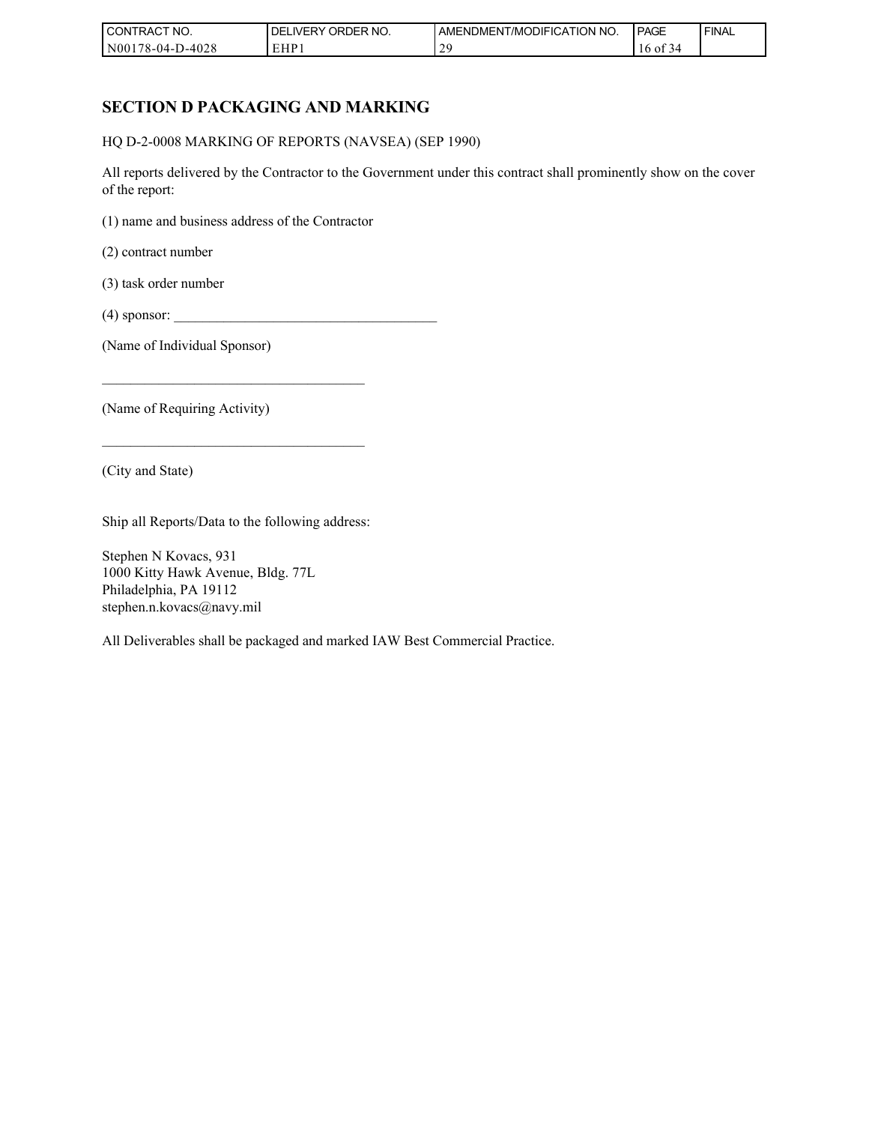| I CONTRACT NO.   | ' ORDER NO.<br><b>DELIVERY</b> | AMENDMENT/MODIFICATION NO. | <b>PAGE</b> | ' FINAL |
|------------------|--------------------------------|----------------------------|-------------|---------|
| N00178-04-D-4028 | EHP 1                          | $\gamma$                   | -01<br>34   |         |

# **SECTION D PACKAGING AND MARKING**

HQ D-2-0008 MARKING OF REPORTS (NAVSEA) (SEP 1990)

All reports delivered by the Contractor to the Government under this contract shall prominently show on the cover of the report:

(1) name and business address of the Contractor

(2) contract number

(3) task order number

 $(4)$  sponsor:

(Name of Individual Sponsor)

(Name of Requiring Activity)

(City and State)

Ship all Reports/Data to the following address:

\_\_\_\_\_\_\_\_\_\_\_\_\_\_\_\_\_\_\_\_\_\_\_\_\_\_\_\_\_\_\_\_\_\_\_\_\_

 $\mathcal{L}_\text{max}$  , and the set of the set of the set of the set of the set of the set of the set of the set of the set of the set of the set of the set of the set of the set of the set of the set of the set of the set of the

Stephen N Kovacs, 931 1000 Kitty Hawk Avenue, Bldg. 77L Philadelphia, PA 19112 stephen.n.kovacs@navy.mil

All Deliverables shall be packaged and marked IAW Best Commercial Practice.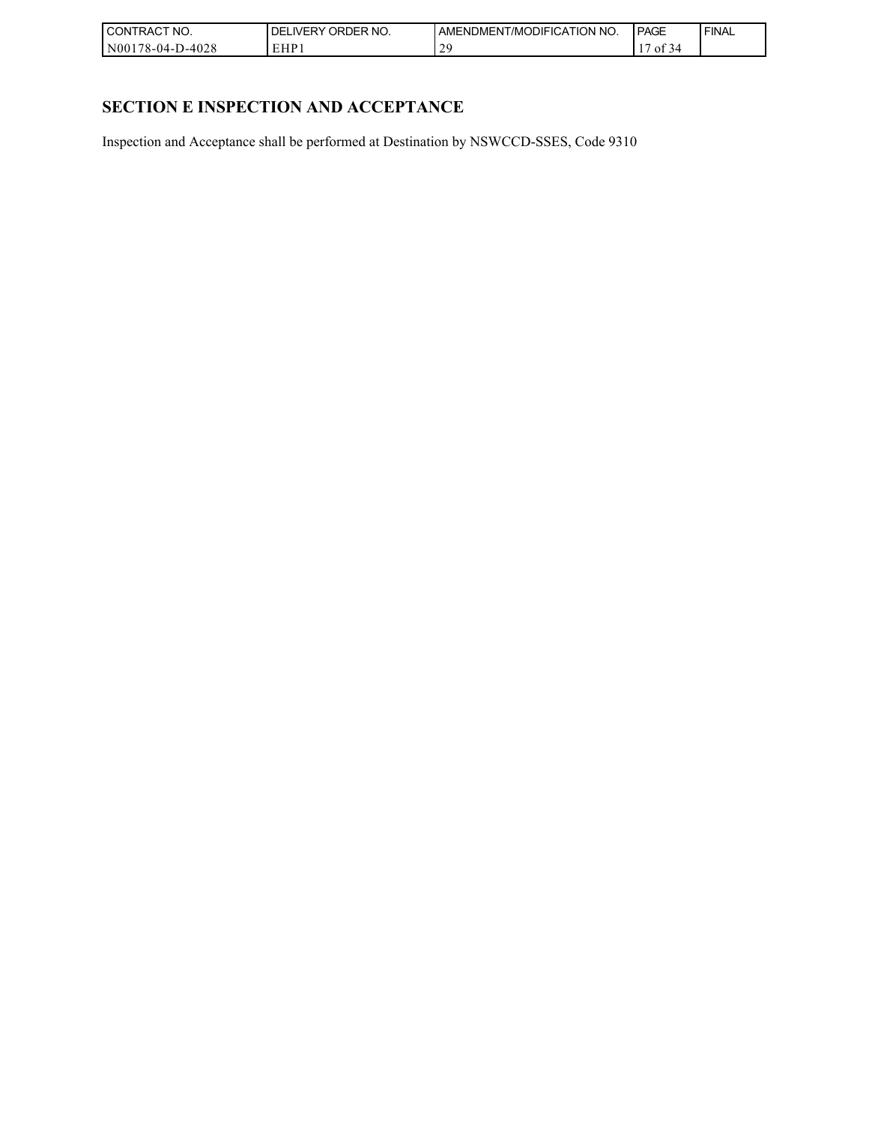| CT NO.<br>l CON<br><b>RAC</b> | ORDER NO.<br><b>NERY</b> | T/MODIFICATION NO.<br>AMENDMENT | PAGE           | <b>FINAL</b> |
|-------------------------------|--------------------------|---------------------------------|----------------|--------------|
| 8-04-D-4028'<br>N00<br>$-70$  | HP.                      | $\Delta$ c<br>∸                 | $\sim$<br>- Ol |              |

# **SECTION E INSPECTION AND ACCEPTANCE**

Inspection and Acceptance shall be performed at Destination by NSWCCD-SSES, Code 9310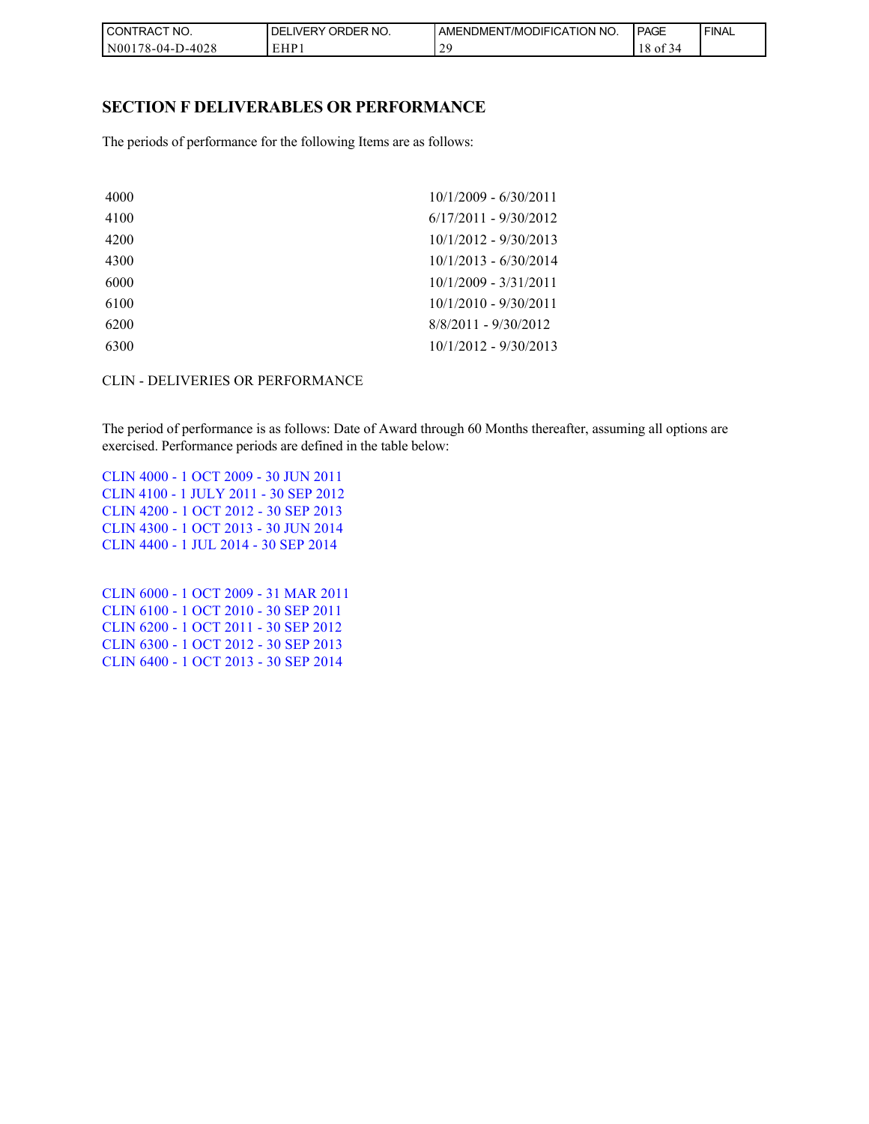| I CONT<br>'TRACT NO.    | NO.<br>' ORDER<br><b>DELIVERY</b> | AMENDMENT/MODIFICATION NO. | PAGE              | <b>FINAL</b> |
|-------------------------|-----------------------------------|----------------------------|-------------------|--------------|
| 178-04-D-4028<br>  N001 | EHP                               | $\gamma c$<br>∼            | 1 O<br>- OI<br>34 |              |

### **SECTION F DELIVERABLES OR PERFORMANCE**

The periods of performance for the following Items are as follows:

| 4000 | $10/1/2009 - 6/30/2011$ |
|------|-------------------------|
| 4100 | $6/17/2011 - 9/30/2012$ |
| 4200 | $10/1/2012 - 9/30/2013$ |
| 4300 | $10/1/2013 - 6/30/2014$ |
| 6000 | $10/1/2009 - 3/31/2011$ |
| 6100 | $10/1/2010 - 9/30/2011$ |
| 6200 | $8/8/2011 - 9/30/2012$  |
| 6300 | $10/1/2012 - 9/30/2013$ |
|      |                         |

#### CLIN - DELIVERIES OR PERFORMANCE

The period of performance is as follows: Date of Award through 60 Months thereafter, assuming all options are exercised. Performance periods are defined in the table below:

CLIN 4000 - 1 OCT 2009 - 30 JUN 2011 CLIN 4100 - 1 JULY 2011 - 30 SEP 2012 CLIN 4200 - 1 OCT 2012 - 30 SEP 2013 CLIN 4300 - 1 OCT 2013 - 30 JUN 2014 CLIN 4400 - 1 JUL 2014 - 30 SEP 2014

CLIN 6000 - 1 OCT 2009 - 31 MAR 2011 CLIN 6100 - 1 OCT 2010 - 30 SEP 2011 CLIN 6200 - 1 OCT 2011 - 30 SEP 2012 CLIN 6300 - 1 OCT 2012 - 30 SEP 2013 CLIN 6400 - 1 OCT 2013 - 30 SEP 2014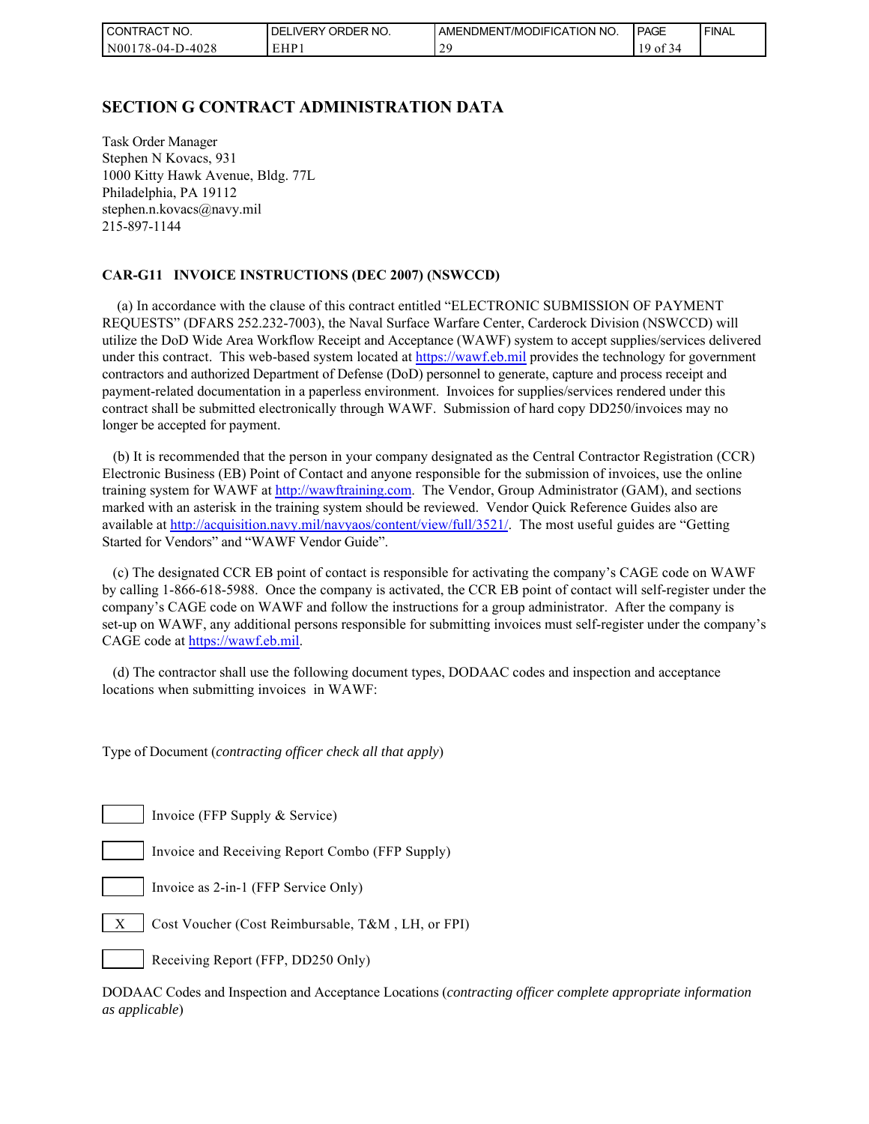| l CON <sup>-</sup><br>'TRACT NO. | ORDER<br>NO.<br>DELI<br>IVERY | AMENDMENT/MODIFICATION NO. | <b>PAGE</b>                | ' FINAL |
|----------------------------------|-------------------------------|----------------------------|----------------------------|---------|
| N001<br>178-04-D-4028            | EHP 1                         | -                          | $\sim$ $\sim$<br>01<br>-44 |         |

### **SECTION G CONTRACT ADMINISTRATION DATA**

Task Order Manager Stephen N Kovacs, 931 1000 Kitty Hawk Avenue, Bldg. 77L Philadelphia, PA 19112 stephen.n.kovacs@navy.mil 215-897-1144

#### **CAR-G11 INVOICE INSTRUCTIONS (DEC 2007) (NSWCCD)**

 (a) In accordance with the clause of this contract entitled "ELECTRONIC SUBMISSION OF PAYMENT REQUESTS" (DFARS 252.232-7003), the Naval Surface Warfare Center, Carderock Division (NSWCCD) will utilize the DoD Wide Area Workflow Receipt and Acceptance (WAWF) system to accept supplies/services delivered under this contract. This web-based system located at [https://wawf.eb.mil](https://wawf.eb.mil/) provides the technology for government contractors and authorized Department of Defense (DoD) personnel to generate, capture and process receipt and payment-related documentation in a paperless environment. Invoices for supplies/services rendered under this contract shall be submitted electronically through WAWF. Submission of hard copy DD250/invoices may no longer be accepted for payment.

 (b) It is recommended that the person in your company designated as the Central Contractor Registration (CCR) Electronic Business (EB) Point of Contact and anyone responsible for the submission of invoices, use the online training system for WAWF at [http://wawftraining.com.](http://wawftraining.com/) The Vendor, Group Administrator (GAM), and sections marked with an asterisk in the training system should be reviewed. Vendor Quick Reference Guides also are available at [http://acquisition.navy.mil/navyaos/content/view/full/3521/.](http://acquisition.navy.mil/navyaos/content/view/full/3521/) The most useful guides are "Getting Started for Vendors" and "WAWF Vendor Guide".

 (c) The designated CCR EB point of contact is responsible for activating the company's CAGE code on WAWF by calling 1-866-618-5988. Once the company is activated, the CCR EB point of contact will self-register under the company's CAGE code on WAWF and follow the instructions for a group administrator. After the company is set-up on WAWF, any additional persons responsible for submitting invoices must self-register under the company's CAGE code at [https://wawf.eb.mil.](https://wawf.eb.mil/)

 (d) The contractor shall use the following document types, DODAAC codes and inspection and acceptance locations when submitting invoices in WAWF:

Type of Document (*contracting officer check all that apply*)

Invoice (FFP Supply & Service)

Invoice and Receiving Report Combo (FFP Supply)

Invoice as 2-in-1 (FFP Service Only)

 $X \mid \text{Cost Vouter (Cost Reimburable, T&M, LH, or FPI)}$ 

Receiving Report (FFP, DD250 Only)

DODAAC Codes and Inspection and Acceptance Locations (*contracting officer complete appropriate information as applicable*)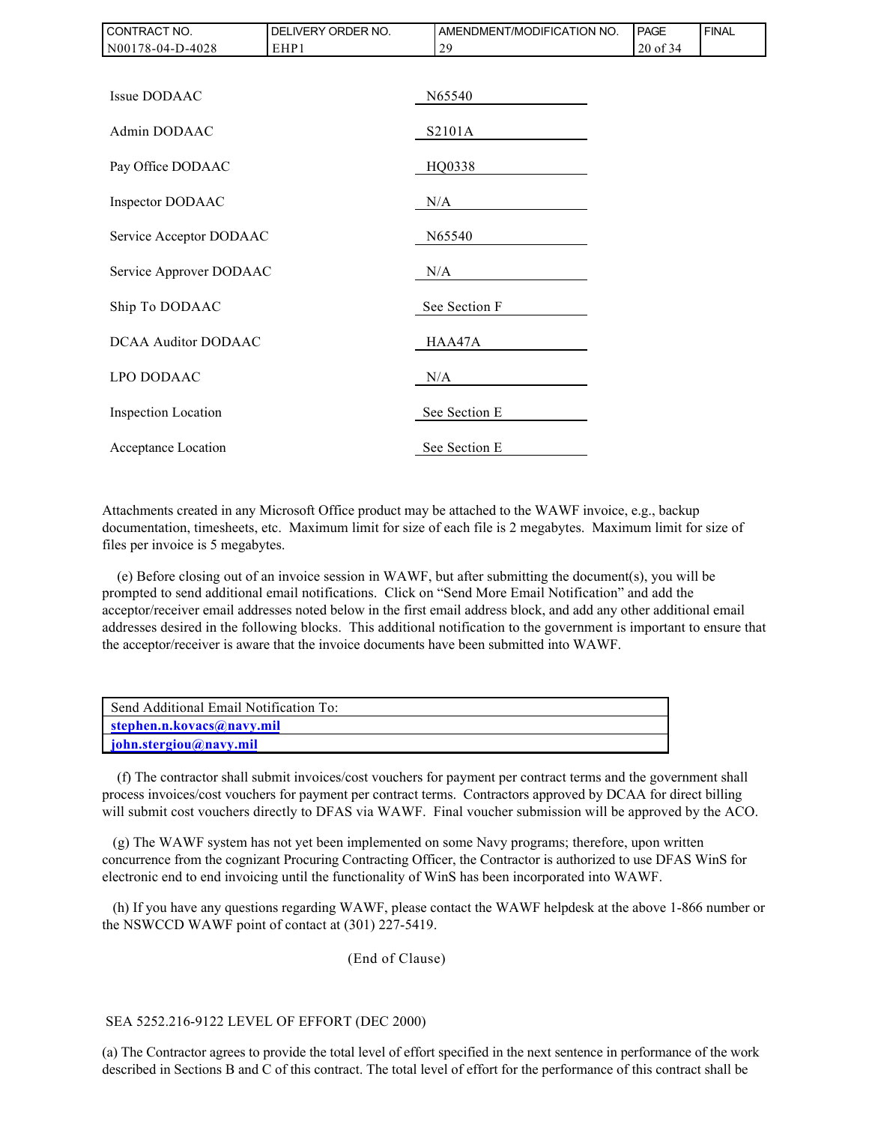| CONTRACT NO.               | DELIVERY ORDER NO. | AMENDMENT/MODIFICATION NO. | <b>PAGE</b> | <b>FINAL</b> |  |
|----------------------------|--------------------|----------------------------|-------------|--------------|--|
| N00178-04-D-4028           | EHP1               | 29                         | 20 of 34    |              |  |
|                            |                    |                            |             |              |  |
| Issue DODAAC               |                    | N65540                     |             |              |  |
| Admin DODAAC               |                    | S2101A                     |             |              |  |
| Pay Office DODAAC          |                    | HQ0338                     |             |              |  |
| Inspector DODAAC           |                    | N/A                        |             |              |  |
| Service Acceptor DODAAC    |                    | N65540                     |             |              |  |
| Service Approver DODAAC    |                    | N/A                        |             |              |  |
| Ship To DODAAC             |                    | See Section F              |             |              |  |
| <b>DCAA Auditor DODAAC</b> |                    | HAA47A                     |             |              |  |
| LPO DODAAC                 |                    | N/A                        |             |              |  |
| Inspection Location        |                    | See Section E              |             |              |  |
| Acceptance Location        |                    | See Section E              |             |              |  |

Attachments created in any Microsoft Office product may be attached to the WAWF invoice, e.g., backup documentation, timesheets, etc. Maximum limit for size of each file is 2 megabytes. Maximum limit for size of files per invoice is 5 megabytes.

 (e) Before closing out of an invoice session in WAWF, but after submitting the document(s), you will be prompted to send additional email notifications. Click on "Send More Email Notification" and add the acceptor/receiver email addresses noted below in the first email address block, and add any other additional email addresses desired in the following blocks. This additional notification to the government is important to ensure that the acceptor/receiver is aware that the invoice documents have been submitted into WAWF.

| Send Additional Email Notification To: |
|----------------------------------------|
| stephen.n.kovacs@navy.mil              |
| john.stergiou@navy.mil                 |

 (f) The contractor shall submit invoices/cost vouchers for payment per contract terms and the government shall process invoices/cost vouchers for payment per contract terms. Contractors approved by DCAA for direct billing will submit cost vouchers directly to DFAS via WAWF. Final voucher submission will be approved by the ACO.

 (g) The WAWF system has not yet been implemented on some Navy programs; therefore, upon written concurrence from the cognizant Procuring Contracting Officer, the Contractor is authorized to use DFAS WinS for electronic end to end invoicing until the functionality of WinS has been incorporated into WAWF.

 (h) If you have any questions regarding WAWF, please contact the WAWF helpdesk at the above 1-866 number or the NSWCCD WAWF point of contact at (301) 227-5419.

#### (End of Clause)

#### SEA 5252.216-9122 LEVEL OF EFFORT (DEC 2000)

(a) The Contractor agrees to provide the total level of effort specified in the next sentence in performance of the work described in Sections B and C of this contract. The total level of effort for the performance of this contract shall be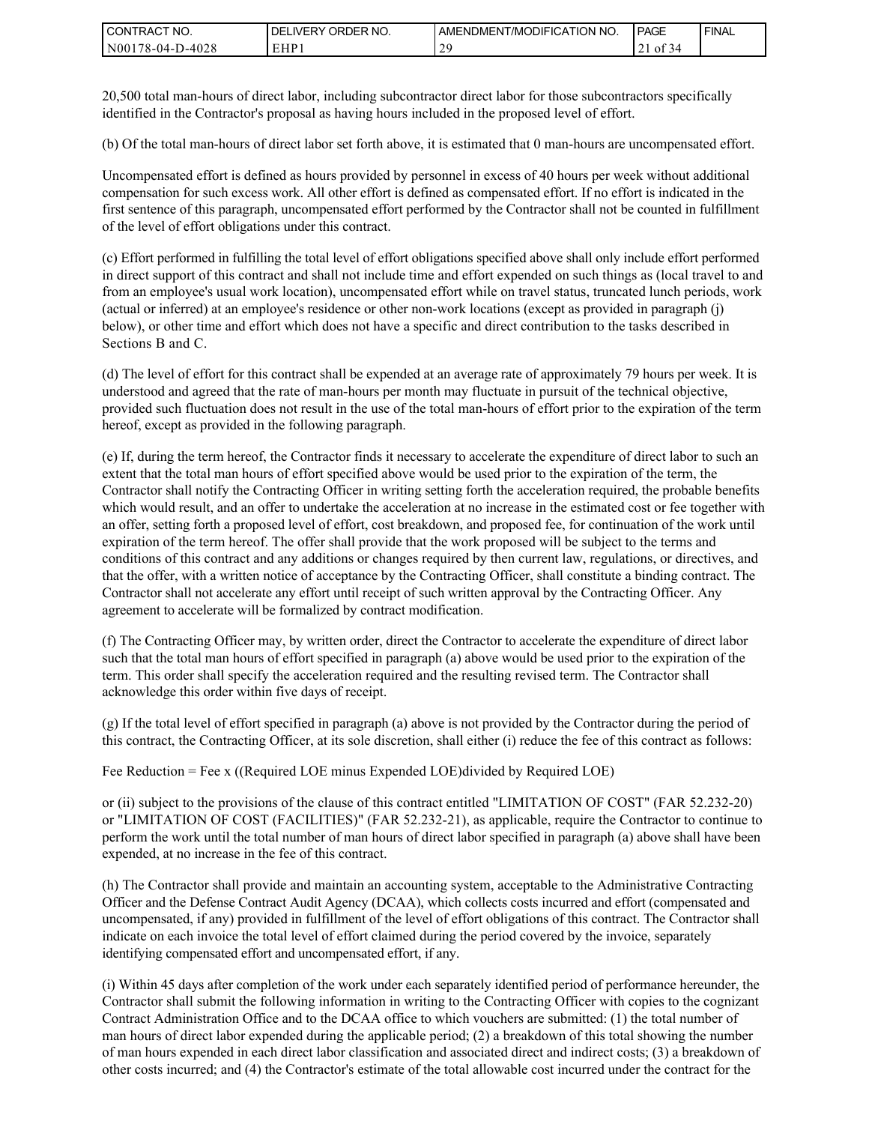| I CONTRACT NO.       | ORDER<br>NO.<br><b>DELIVERY</b> | AMENDMENT/MODIFICATION NO. | <b>PAGE</b>        | <b>I FINAL</b> |
|----------------------|---------------------------------|----------------------------|--------------------|----------------|
| N00<br>178-04-D-4028 | EHP                             |                            | $\sim$<br>0Ī<br>21 |                |

20,500 total man-hours of direct labor, including subcontractor direct labor for those subcontractors specifically identified in the Contractor's proposal as having hours included in the proposed level of effort.

(b) Of the total man-hours of direct labor set forth above, it is estimated that 0 man-hours are uncompensated effort.

Uncompensated effort is defined as hours provided by personnel in excess of 40 hours per week without additional compensation for such excess work. All other effort is defined as compensated effort. If no effort is indicated in the first sentence of this paragraph, uncompensated effort performed by the Contractor shall not be counted in fulfillment of the level of effort obligations under this contract.

(c) Effort performed in fulfilling the total level of effort obligations specified above shall only include effort performed in direct support of this contract and shall not include time and effort expended on such things as (local travel to and from an employee's usual work location), uncompensated effort while on travel status, truncated lunch periods, work (actual or inferred) at an employee's residence or other non-work locations (except as provided in paragraph (j) below), or other time and effort which does not have a specific and direct contribution to the tasks described in Sections B and C.

(d) The level of effort for this contract shall be expended at an average rate of approximately 79 hours per week. It is understood and agreed that the rate of man-hours per month may fluctuate in pursuit of the technical objective, provided such fluctuation does not result in the use of the total man-hours of effort prior to the expiration of the term hereof, except as provided in the following paragraph.

(e) If, during the term hereof, the Contractor finds it necessary to accelerate the expenditure of direct labor to such an extent that the total man hours of effort specified above would be used prior to the expiration of the term, the Contractor shall notify the Contracting Officer in writing setting forth the acceleration required, the probable benefits which would result, and an offer to undertake the acceleration at no increase in the estimated cost or fee together with an offer, setting forth a proposed level of effort, cost breakdown, and proposed fee, for continuation of the work until expiration of the term hereof. The offer shall provide that the work proposed will be subject to the terms and conditions of this contract and any additions or changes required by then current law, regulations, or directives, and that the offer, with a written notice of acceptance by the Contracting Officer, shall constitute a binding contract. The Contractor shall not accelerate any effort until receipt of such written approval by the Contracting Officer. Any agreement to accelerate will be formalized by contract modification.

(f) The Contracting Officer may, by written order, direct the Contractor to accelerate the expenditure of direct labor such that the total man hours of effort specified in paragraph (a) above would be used prior to the expiration of the term. This order shall specify the acceleration required and the resulting revised term. The Contractor shall acknowledge this order within five days of receipt.

(g) If the total level of effort specified in paragraph (a) above is not provided by the Contractor during the period of this contract, the Contracting Officer, at its sole discretion, shall either (i) reduce the fee of this contract as follows:

Fee Reduction = Fee x ((Required LOE minus Expended LOE)divided by Required LOE)

or (ii) subject to the provisions of the clause of this contract entitled "LIMITATION OF COST" (FAR 52.232-20) or "LIMITATION OF COST (FACILITIES)" (FAR 52.232-21), as applicable, require the Contractor to continue to perform the work until the total number of man hours of direct labor specified in paragraph (a) above shall have been expended, at no increase in the fee of this contract.

(h) The Contractor shall provide and maintain an accounting system, acceptable to the Administrative Contracting Officer and the Defense Contract Audit Agency (DCAA), which collects costs incurred and effort (compensated and uncompensated, if any) provided in fulfillment of the level of effort obligations of this contract. The Contractor shall indicate on each invoice the total level of effort claimed during the period covered by the invoice, separately identifying compensated effort and uncompensated effort, if any.

(i) Within 45 days after completion of the work under each separately identified period of performance hereunder, the Contractor shall submit the following information in writing to the Contracting Officer with copies to the cognizant Contract Administration Office and to the DCAA office to which vouchers are submitted: (1) the total number of man hours of direct labor expended during the applicable period; (2) a breakdown of this total showing the number of man hours expended in each direct labor classification and associated direct and indirect costs; (3) a breakdown of other costs incurred; and (4) the Contractor's estimate of the total allowable cost incurred under the contract for the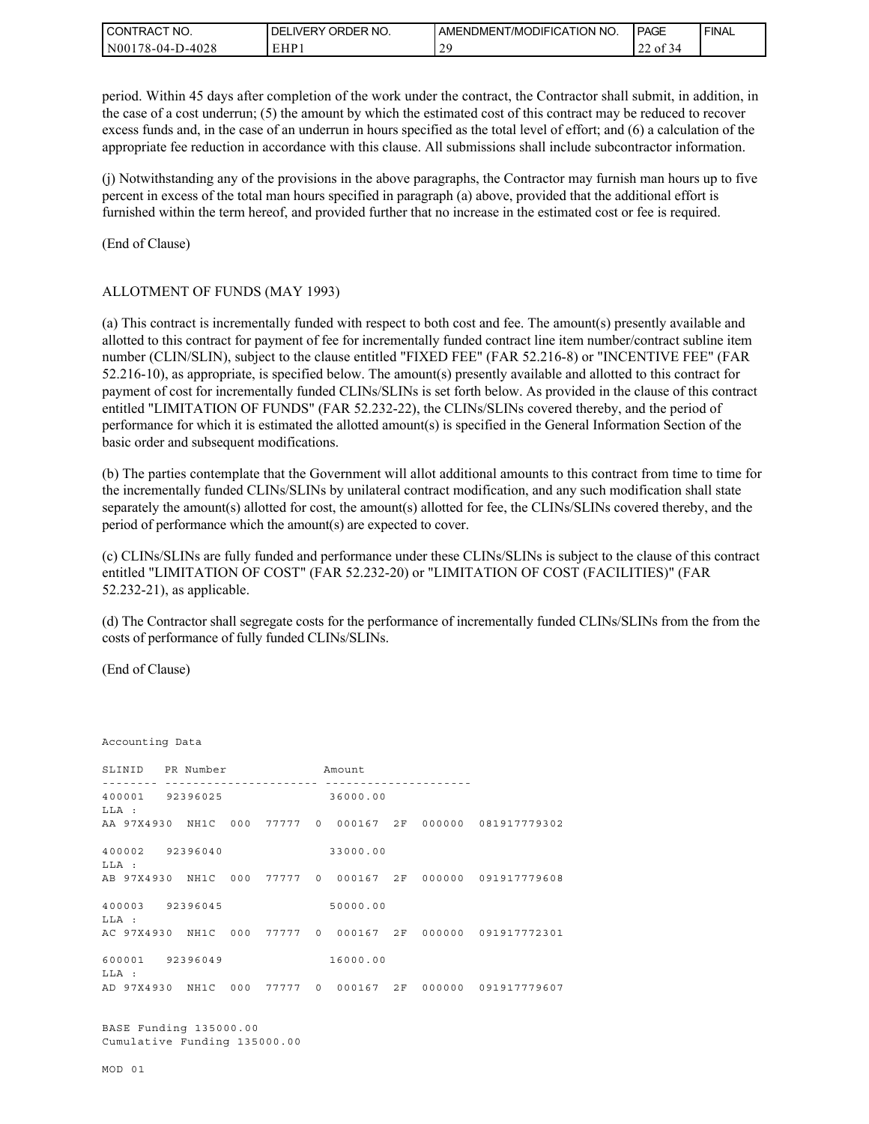| I CONTRACT NO.   | ORDER NO.<br>DEL<br>LIVERY | AMENDMENT/MODIFICATION NO. | <b>PAGE</b>                         | ' FINAL |
|------------------|----------------------------|----------------------------|-------------------------------------|---------|
| N00178-04-D-4028 | EHP1                       | $\gamma c$<br>-            | $\sim$ $\sim$<br>$\sim$<br>013<br>∸ |         |

period. Within 45 days after completion of the work under the contract, the Contractor shall submit, in addition, in the case of a cost underrun; (5) the amount by which the estimated cost of this contract may be reduced to recover excess funds and, in the case of an underrun in hours specified as the total level of effort; and (6) a calculation of the appropriate fee reduction in accordance with this clause. All submissions shall include subcontractor information.

(j) Notwithstanding any of the provisions in the above paragraphs, the Contractor may furnish man hours up to five percent in excess of the total man hours specified in paragraph (a) above, provided that the additional effort is furnished within the term hereof, and provided further that no increase in the estimated cost or fee is required.

(End of Clause)

#### ALLOTMENT OF FUNDS (MAY 1993)

(a) This contract is incrementally funded with respect to both cost and fee. The amount(s) presently available and allotted to this contract for payment of fee for incrementally funded contract line item number/contract subline item number (CLIN/SLIN), subject to the clause entitled "FIXED FEE" (FAR 52.216-8) or "INCENTIVE FEE" (FAR 52.216-10), as appropriate, is specified below. The amount(s) presently available and allotted to this contract for payment of cost for incrementally funded CLINs/SLINs is set forth below. As provided in the clause of this contract entitled "LIMITATION OF FUNDS" (FAR 52.232-22), the CLINs/SLINs covered thereby, and the period of performance for which it is estimated the allotted amount(s) is specified in the General Information Section of the basic order and subsequent modifications.

(b) The parties contemplate that the Government will allot additional amounts to this contract from time to time for the incrementally funded CLINs/SLINs by unilateral contract modification, and any such modification shall state separately the amount(s) allotted for cost, the amount(s) allotted for fee, the CLINs/SLINs covered thereby, and the period of performance which the amount(s) are expected to cover.

(c) CLINs/SLINs are fully funded and performance under these CLINs/SLINs is subject to the clause of this contract entitled "LIMITATION OF COST" (FAR 52.232-20) or "LIMITATION OF COST (FACILITIES)" (FAR 52.232-21), as applicable.

(d) The Contractor shall segregate costs for the performance of incrementally funded CLINs/SLINs from the from the costs of performance of fully funded CLINs/SLINs.

(End of Clause)

Accounting Data SLINID PR Number Amount -------- ---------------------- --------------------- 400001 92396025 36000.00 LLA : AA 97X4930 NH1C 000 77777 0 000167 2F 000000 081917779302 400002 92396040 33000.00 LLA : AB 97X4930 NH1C 000 77777 0 000167 2F 000000 091917779608 400003 92396045 50000.00  $T.T.A$  : AC 97X4930 NH1C 000 77777 0 000167 2F 000000 091917772301 600001 92396049 16000.00 LLA : AD 97X4930 NH1C 000 77777 0 000167 2F 000000 091917779607 BASE Funding 135000.00 Cumulative Funding 135000.00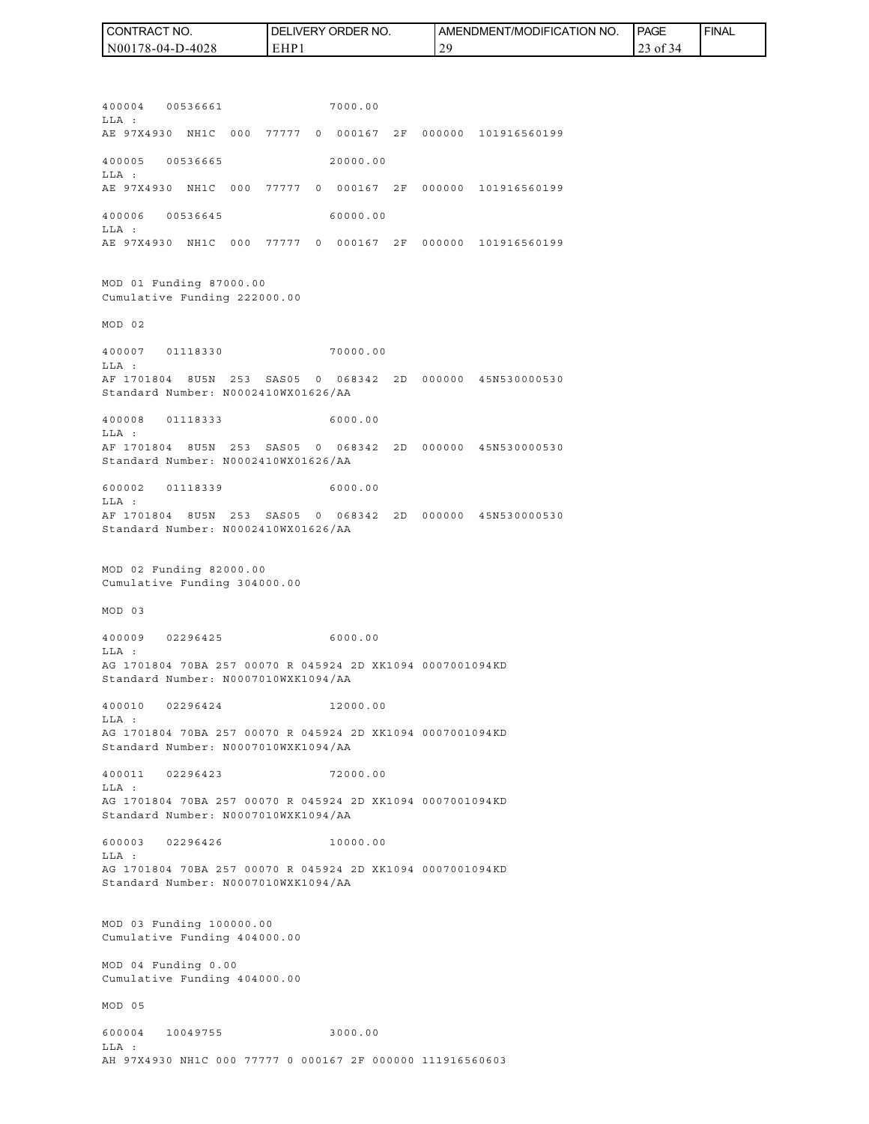| CONTRACT NO.     | `NO.<br>DELIVERY ORDER | AMENDMENT/MODIFICATION NO. | <b>PAGE</b>                                  | ' FINAL |
|------------------|------------------------|----------------------------|----------------------------------------------|---------|
| N00178-04-D-4028 | EHP.                   | 20<br><b>_</b>             | $\rightarrow$ 01 5<br>$\rightarrow$ $\prime$ |         |

400004 00536661 7000.00 LLA : AE 97X4930 NH1C 000 77777 0 000167 2F 000000 101916560199 400005 00536665 20000.00 LLA : AE 97X4930 NH1C 000 77777 0 000167 2F 000000 101916560199 400006 00536645 60000.00 LLA : AE 97X4930 NH1C 000 77777 0 000167 2F 000000 101916560199 MOD 01 Funding 87000.00 Cumulative Funding 222000.00 MOD 02 400007 01118330 70000.00  $T.T.A$  : AF 1701804 8U5N 253 SAS05 0 068342 2D 000000 45N530000530 Standard Number: N0002410WX01626/AA 400008 01118333 6000.00 LLA : AF 1701804 8U5N 253 SAS05 0 068342 2D 000000 45N530000530 Standard Number: N0002410WX01626/AA 600002 01118339 6000.00 LLA : AF 1701804 8U5N 253 SAS05 0 068342 2D 000000 45N530000530 Standard Number: N0002410WX01626/AA MOD 02 Funding 82000.00 Cumulative Funding 304000.00 MOD 03 400009 02296425 6000.00 LLA : AG 1701804 70BA 257 00070 R 045924 2D XK1094 0007001094KD Standard Number: N0007010WXK1094/AA 400010 02296424 12000.00 LLA : AG 1701804 70BA 257 00070 R 045924 2D XK1094 0007001094KD Standard Number: N0007010WXK1094/AA 400011 02296423 72000.00 LLA : AG 1701804 70BA 257 00070 R 045924 2D XK1094 0007001094KD Standard Number: N0007010WXK1094/AA 600003 02296426 10000.00  $T.T.A$  : AG 1701804 70BA 257 00070 R 045924 2D XK1094 0007001094KD Standard Number: N0007010WXK1094/AA MOD 03 Funding 100000.00 Cumulative Funding 404000.00 MOD 04 Funding 0.00 Cumulative Funding 404000.00 MOD 05 600004 10049755 3000.00 LLA : AH 97X4930 NH1C 000 77777 0 000167 2F 000000 111916560603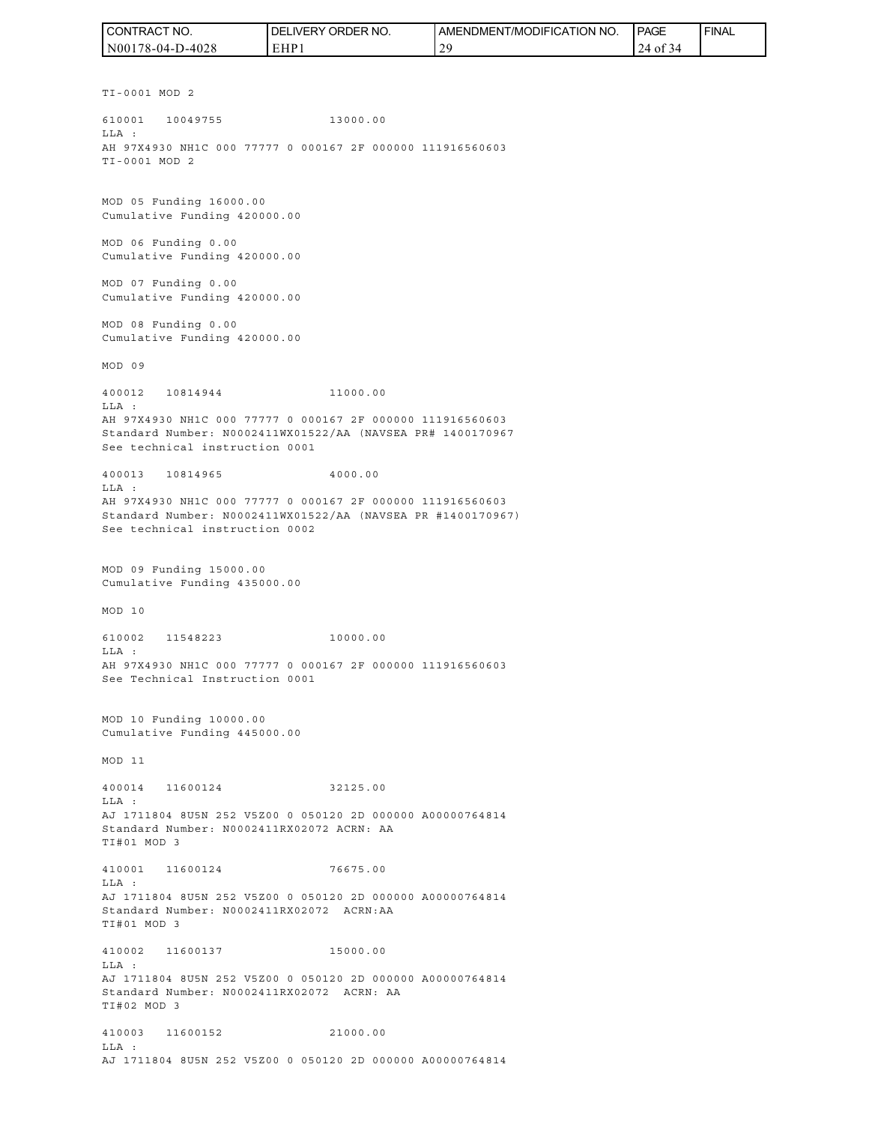| CONTRACT NO.     | DELIVERY ORDER NO. | <b>AMENDMENT/MODIFICATION NO.</b> | <b>PAGE</b>                      | ' FINAL |
|------------------|--------------------|-----------------------------------|----------------------------------|---------|
| N00178-04-D-4028 | EHP                | $\Delta$ C<br>-                   | $\sim$ $\sim$ $\sim$<br>24 of 34 |         |

TI-0001 MOD 2 610001 10049755 13000.00 LLA : AH 97X4930 NH1C 000 77777 0 000167 2F 000000 111916560603 TI-0001 MOD 2 MOD 05 Funding 16000.00 Cumulative Funding 420000.00 MOD 06 Funding 0.00 Cumulative Funding 420000.00 MOD 07 Funding 0.00 Cumulative Funding 420000.00 MOD 08 Funding 0.00 Cumulative Funding 420000.00 MOD 09 400012 10814944 11000.00 LLA : AH 97X4930 NH1C 000 77777 0 000167 2F 000000 111916560603 Standard Number: N0002411WX01522/AA (NAVSEA PR# 1400170967 See technical instruction 0001 400013 10814965 4000.00 LLA : AH 97X4930 NH1C 000 77777 0 000167 2F 000000 111916560603 Standard Number: N0002411WX01522/AA (NAVSEA PR #1400170967) See technical instruction 0002 MOD 09 Funding 15000.00 Cumulative Funding 435000.00 MOD 10 610002 11548223 10000.00 LLA : AH 97X4930 NH1C 000 77777 0 000167 2F 000000 111916560603 See Technical Instruction 0001 MOD 10 Funding 10000.00 Cumulative Funding 445000.00 MOD 11 400014 11600124 32125.00 LLA : AJ 1711804 8U5N 252 V5Z00 0 050120 2D 000000 A00000764814 Standard Number: N0002411RX02072 ACRN: AA TI#01 MOD 3 410001 11600124 76675.00 LLA : AJ 1711804 8U5N 252 V5Z00 0 050120 2D 000000 A00000764814 Standard Number: N0002411RX02072 ACRN:AA TI#01 MOD 3 410002 11600137 15000.00 LLA : AJ 1711804 8U5N 252 V5Z00 0 050120 2D 000000 A00000764814 Standard Number: N0002411RX02072 ACRN: AA TI#02 MOD 3 410003 11600152 21000.00 LLA :

AJ 1711804 8U5N 252 V5Z00 0 050120 2D 000000 A00000764814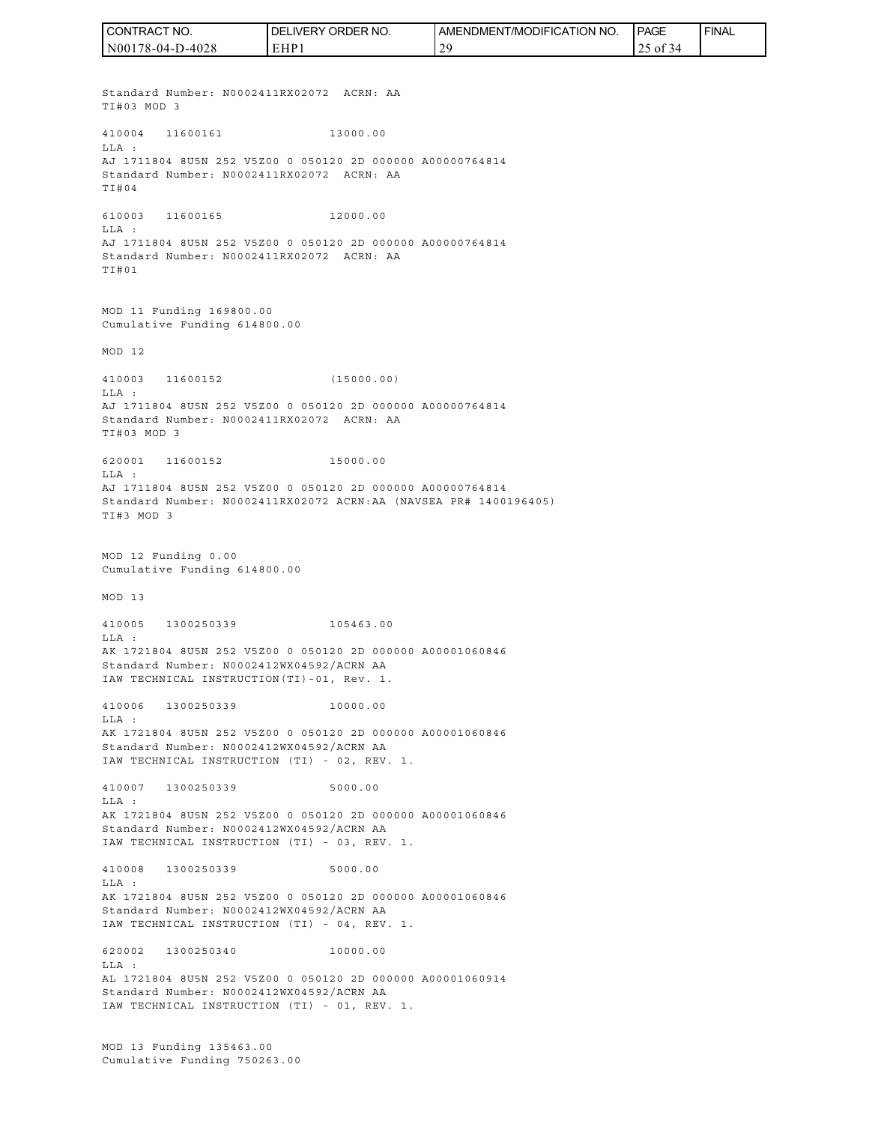Standard Number: N0002411RX02072 ACRN: AA TI#03 MOD 3 410004 11600161 13000.00 LLA : AJ 1711804 8U5N 252 V5Z00 0 050120 2D 000000 A00000764814 Standard Number: N0002411RX02072 ACRN: AA TI#04 610003 11600165 12000.00 LLA : AJ 1711804 8U5N 252 V5Z00 0 050120 2D 000000 A00000764814 Standard Number: N0002411RX02072 ACRN: AA TI#01 MOD 11 Funding 169800.00 Cumulative Funding 614800.00 MOD 12 410003 11600152 (15000.00) LLA : AJ 1711804 8U5N 252 V5Z00 0 050120 2D 000000 A00000764814 Standard Number: N0002411RX02072 ACRN: AA TI#03 MOD 3 620001 11600152 15000.00 LLA : AJ 1711804 8U5N 252 V5Z00 0 050120 2D 000000 A00000764814 Standard Number: N0002411RX02072 ACRN:AA (NAVSEA PR# 1400196405) TI#3 MOD 3 MOD 12 Funding 0.00 Cumulative Funding 614800.00 MOD 13 410005 1300250339 105463.00 LLA : AK 1721804 8U5N 252 V5Z00 0 050120 2D 000000 A00001060846 Standard Number: N0002412WX04592/ACRN AA IAW TECHNICAL INSTRUCTION(TI)-01, Rev. 1. 410006 1300250339 10000.00 LLA : AK 1721804 8U5N 252 V5Z00 0 050120 2D 000000 A00001060846 Standard Number: N0002412WX04592/ACRN AA IAW TECHNICAL INSTRUCTION (TI) - 02, REV. 1. 410007 1300250339 5000.00 LLA : AK 1721804 8U5N 252 V5Z00 0 050120 2D 000000 A00001060846 Standard Number: N0002412WX04592/ACRN AA IAW TECHNICAL INSTRUCTION (TI) - 03, REV. 1. 410008 1300250339 5000.00 LLA : AK 1721804 8U5N 252 V5Z00 0 050120 2D 000000 A00001060846 Standard Number: N0002412WX04592/ACRN AA IAW TECHNICAL INSTRUCTION (TI) - 04, REV. 1. 620002 1300250340 10000.00 LLA : AL 1721804 8U5N 252 V5Z00 0 050120 2D 000000 A00001060914 Standard Number: N0002412WX04592/ACRN AA IAW TECHNICAL INSTRUCTION (TI) - 01, REV. 1. MOD 13 Funding 135463.00 CONTRACT NO. N00178-04-D-4028 DELIVERY ORDER NO. EHP1 AMENDMENT/MODIFICATION NO. 29 **I**PAGE 25 of 34 **FINAL** 

Cumulative Funding 750263.00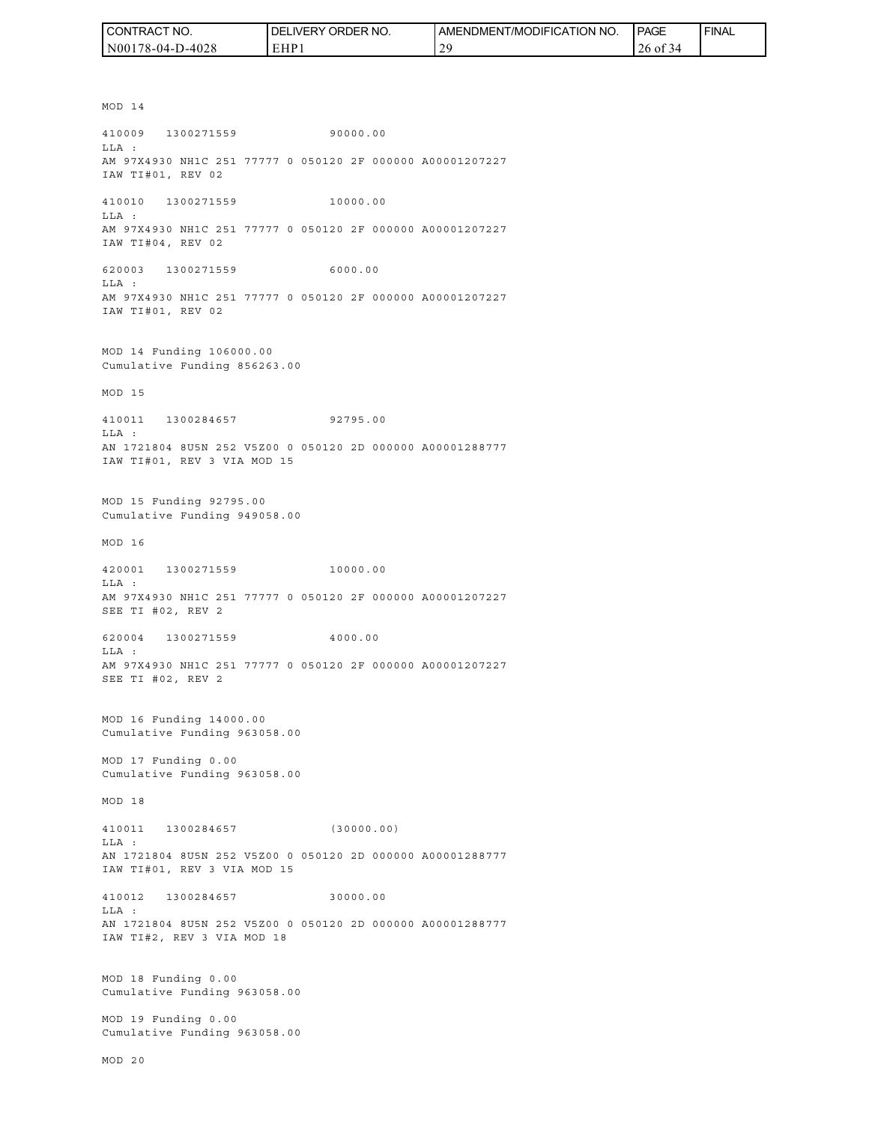| I CONTRACT NO.   | <b>I DELIVERY ORDER NO.</b> | AMENDMENT/MODIFICATION<br>NO. | <b>PAGE</b>   | <b>FINAL</b> |
|------------------|-----------------------------|-------------------------------|---------------|--------------|
| N00178-04-D-4028 | EHP                         | 20                            | 26 of 3<br>≺⊿ |              |

MOD 14 410009 1300271559 90000.00 LLA : AM 97X4930 NH1C 251 77777 0 050120 2F 000000 A00001207227 IAW TI#01, REV 02 410010 1300271559 10000.00 LLA : AM 97X4930 NH1C 251 77777 0 050120 2F 000000 A00001207227 IAW TI#04, REV 02 620003 1300271559 6000.00 LLA : AM 97X4930 NH1C 251 77777 0 050120 2F 000000 A00001207227 IAW TI#01, REV 02 MOD 14 Funding 106000.00 Cumulative Funding 856263.00 MOD 15 410011 1300284657 92795.00 LLA : AN 1721804 8U5N 252 V5Z00 0 050120 2D 000000 A00001288777 IAW TI#01, REV 3 VIA MOD 15 MOD 15 Funding 92795.00 Cumulative Funding 949058.00 MOD 16 420001 1300271559 10000.00 LLA : AM 97X4930 NH1C 251 77777 0 050120 2F 000000 A00001207227 SEE TI #02, REV 2 620004 1300271559 4000.00 LLA : AM 97X4930 NH1C 251 77777 0 050120 2F 000000 A00001207227 SEE TI #02, REV 2 MOD 16 Funding 14000.00 Cumulative Funding 963058.00 MOD 17 Funding 0.00 Cumulative Funding 963058.00 MOD 18 410011 1300284657 (30000.00) LLA : AN 1721804 8U5N 252 V5Z00 0 050120 2D 000000 A00001288777 IAW TI#01, REV 3 VIA MOD 15 410012 1300284657 30000.00 LLA : AN 1721804 8U5N 252 V5Z00 0 050120 2D 000000 A00001288777 IAW TI#2, REV 3 VIA MOD 18 MOD 18 Funding 0.00 Cumulative Funding 963058.00 MOD 19 Funding 0.00 Cumulative Funding 963058.00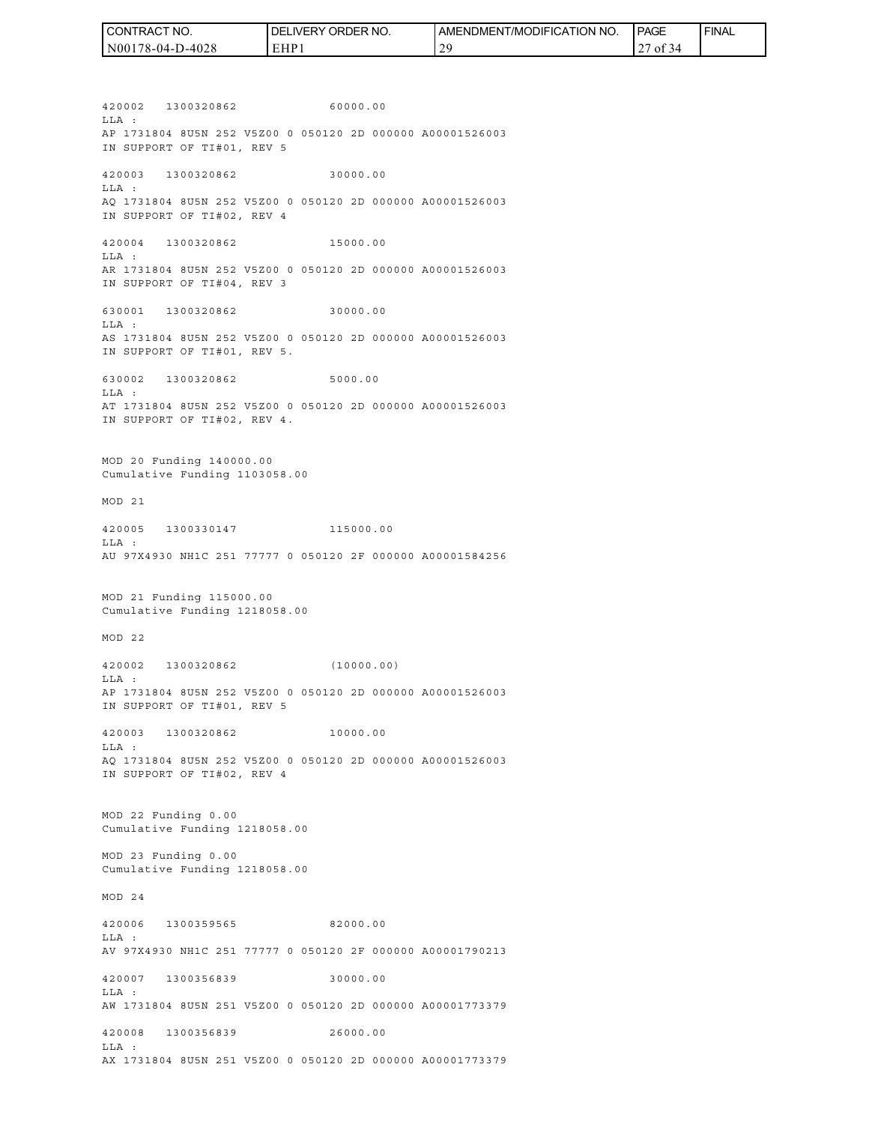| I CONTRACT NO.   | <b>IDELIVERY ORDER NO.</b> | AMENDMENT/MODIFICATION NO. | PAGE       | <b>FINAL</b> |
|------------------|----------------------------|----------------------------|------------|--------------|
| N00178-04-D-4028 | EHP                        | 20                         | ` OI<br>≺⊿ |              |

420002 1300320862 60000.00 LLA : AP 1731804 8U5N 252 V5Z00 0 050120 2D 000000 A00001526003 IN SUPPORT OF TI#01, REV 5 420003 1300320862 30000.00 LLA : AQ 1731804 8U5N 252 V5Z00 0 050120 2D 000000 A00001526003 IN SUPPORT OF TI#02, REV 4 420004 1300320862 15000.00 LLA : AR 1731804 8U5N 252 V5Z00 0 050120 2D 000000 A00001526003 IN SUPPORT OF TI#04, REV 3 630001 1300320862 30000.00 LLA : AS 1731804 8U5N 252 V5Z00 0 050120 2D 000000 A00001526003 IN SUPPORT OF TI#01, REV 5. 630002 1300320862 5000.00 LLA : AT 1731804 8U5N 252 V5Z00 0 050120 2D 000000 A00001526003 IN SUPPORT OF TI#02, REV 4. MOD 20 Funding 140000.00 Cumulative Funding 1103058.00 MOD 21 420005 1300330147 115000.00 LLA : AU 97X4930 NH1C 251 77777 0 050120 2F 000000 A00001584256 MOD 21 Funding 115000.00 Cumulative Funding 1218058.00 MOD 22 420002 1300320862 (10000.00) LLA : AP 1731804 8U5N 252 V5Z00 0 050120 2D 000000 A00001526003 IN SUPPORT OF TI#01, REV 5 420003 1300320862 10000.00  $T.T.A$  : AQ 1731804 8U5N 252 V5Z00 0 050120 2D 000000 A00001526003 IN SUPPORT OF TI#02, REV 4 MOD 22 Funding 0.00 Cumulative Funding 1218058.00 MOD 23 Funding 0.00 Cumulative Funding 1218058.00 MOD 24 420006 1300359565 82000.00 LLA : AV 97X4930 NH1C 251 77777 0 050120 2F 000000 A00001790213 420007 1300356839 30000.00 LLA : AW 1731804 8U5N 251 V5Z00 0 050120 2D 000000 A00001773379 420008 1300356839 26000.00 LLA :

AX 1731804 8U5N 251 V5Z00 0 050120 2D 000000 A00001773379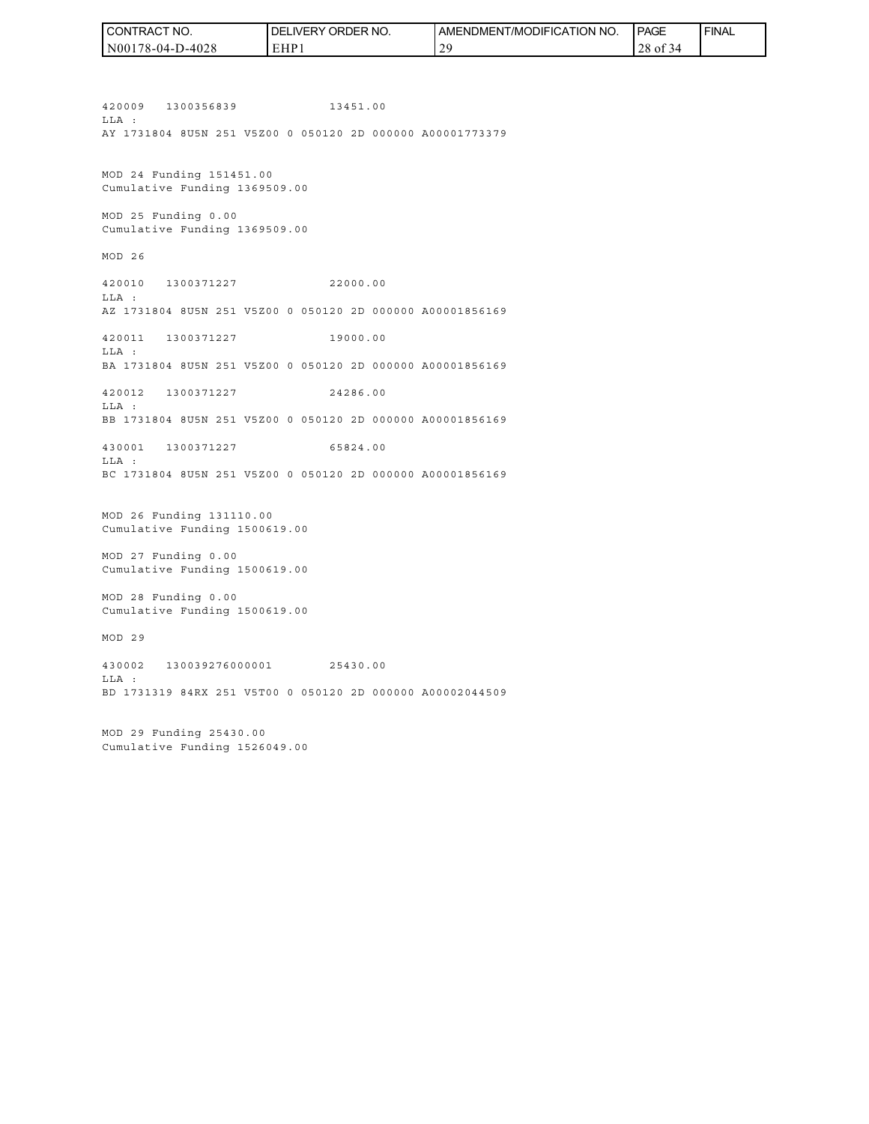| CONTRACT NO.     | ORDER NO.<br>DEL<br>LIVERY. | AMENDMENT/MODIFICATION NO. | <b>PAGE</b>   | ' FINAL |
|------------------|-----------------------------|----------------------------|---------------|---------|
| N00178-04-D-4028 | EHP1                        | 2G                         | $28$ of<br>34 |         |

420009 1300356839 13451.00 LLA : AY 1731804 8U5N 251 V5Z00 0 050120 2D 000000 A00001773379 MOD 24 Funding 151451.00 Cumulative Funding 1369509.00 MOD 25 Funding 0.00 Cumulative Funding 1369509.00 MOD 26 420010 1300371227 22000.00 LLA : AZ 1731804 8U5N 251 V5Z00 0 050120 2D 000000 A00001856169 420011 1300371227 19000.00 LLA : BA 1731804 8U5N 251 V5Z00 0 050120 2D 000000 A00001856169 420012 1300371227 24286.00 LLA : BB 1731804 8U5N 251 V5Z00 0 050120 2D 000000 A00001856169 430001 1300371227 65824.00 LLA : BC 1731804 8U5N 251 V5Z00 0 050120 2D 000000 A00001856169 MOD 26 Funding 131110.00 Cumulative Funding 1500619.00 MOD 27 Funding 0.00 Cumulative Funding 1500619.00 MOD 28 Funding 0.00 Cumulative Funding 1500619.00 MOD 29 430002 130039276000001 25430.00 LLA : BD 1731319 84RX 251 V5T00 0 050120 2D 000000 A00002044509

MOD 29 Funding 25430.00 Cumulative Funding 1526049.00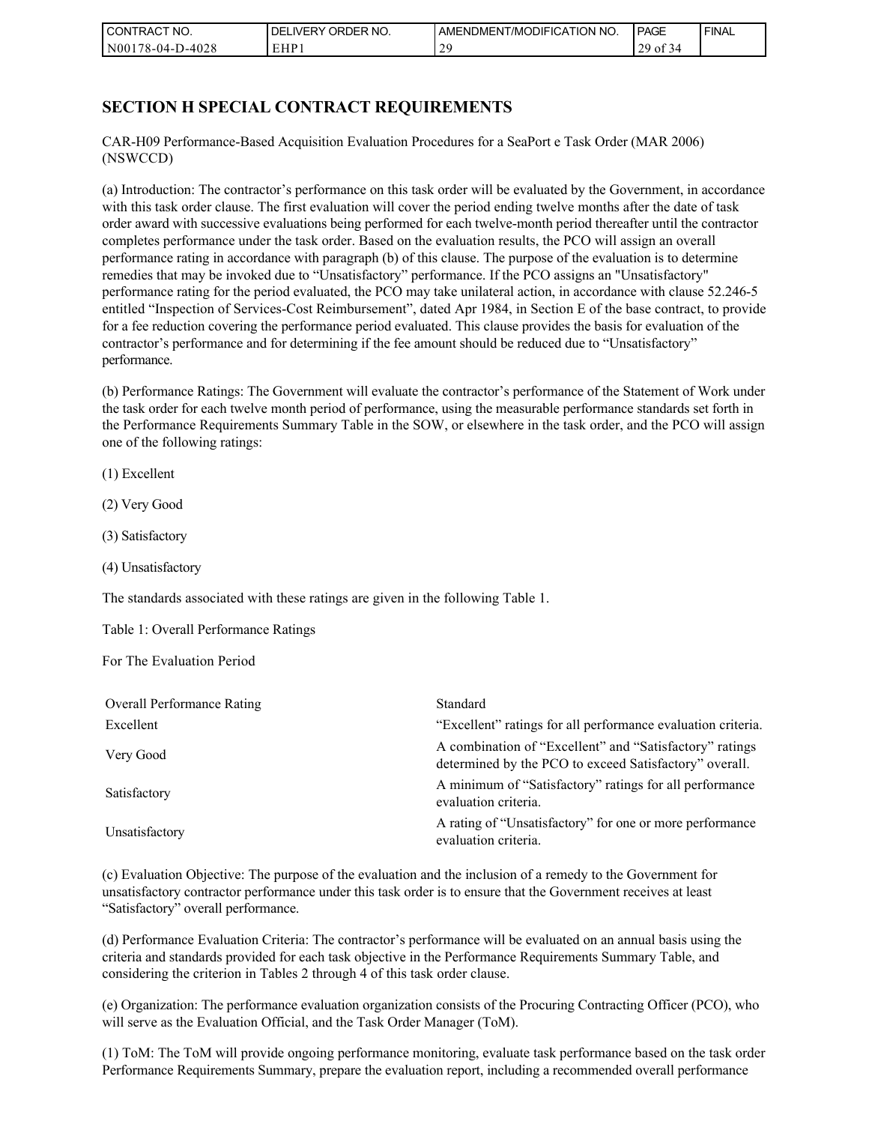| l CON <sup>-</sup><br>'TRACT NO. | ' ORDER NO.<br>DELIVERY | AMENDMENT/MODIFICATION NO. | <b>PAGE</b>                                  | ' FINAL |
|----------------------------------|-------------------------|----------------------------|----------------------------------------------|---------|
| N001<br>178-04-D-4028            | EHP 1                   | -                          | $\sim$ $\sim$<br>20<br>0Ī<br>-44<br>ر ت<br>◡ |         |

# **SECTION H SPECIAL CONTRACT REQUIREMENTS**

CAR-H09 Performance-Based Acquisition Evaluation Procedures for a SeaPort e Task Order (MAR 2006) (NSWCCD)

(a) Introduction: The contractor's performance on this task order will be evaluated by the Government, in accordance with this task order clause. The first evaluation will cover the period ending twelve months after the date of task order award with successive evaluations being performed for each twelve-month period thereafter until the contractor completes performance under the task order. Based on the evaluation results, the PCO will assign an overall performance rating in accordance with paragraph (b) of this clause. The purpose of the evaluation is to determine remedies that may be invoked due to "Unsatisfactory" performance. If the PCO assigns an "Unsatisfactory" performance rating for the period evaluated, the PCO may take unilateral action, in accordance with clause 52.246-5 entitled "Inspection of Services-Cost Reimbursement", dated Apr 1984, in Section E of the base contract, to provide for a fee reduction covering the performance period evaluated. This clause provides the basis for evaluation of the contractor's performance and for determining if the fee amount should be reduced due to "Unsatisfactory" performance.

(b) Performance Ratings: The Government will evaluate the contractor's performance of the Statement of Work under the task order for each twelve month period of performance, using the measurable performance standards set forth in the Performance Requirements Summary Table in the SOW, or elsewhere in the task order, and the PCO will assign one of the following ratings:

(1) Excellent

(2) Very Good

(3) Satisfactory

(4) Unsatisfactory

The standards associated with these ratings are given in the following Table 1.

Table 1: Overall Performance Ratings

For The Evaluation Period

| <b>Overall Performance Rating</b> | Standard                                                                                                          |
|-----------------------------------|-------------------------------------------------------------------------------------------------------------------|
| Excellent                         | "Excellent" ratings for all performance evaluation criteria.                                                      |
| Very Good                         | A combination of "Excellent" and "Satisfactory" ratings<br>determined by the PCO to exceed Satisfactory" overall. |
| Satisfactory                      | A minimum of "Satisfactory" ratings for all performance<br>evaluation criteria.                                   |
| Unsatisfactory                    | A rating of "Unsatisfactory" for one or more performance<br>evaluation criteria.                                  |

(c) Evaluation Objective: The purpose of the evaluation and the inclusion of a remedy to the Government for unsatisfactory contractor performance under this task order is to ensure that the Government receives at least "Satisfactory" overall performance.

(d) Performance Evaluation Criteria: The contractor's performance will be evaluated on an annual basis using the criteria and standards provided for each task objective in the Performance Requirements Summary Table, and considering the criterion in Tables 2 through 4 of this task order clause.

(e) Organization: The performance evaluation organization consists of the Procuring Contracting Officer (PCO), who will serve as the Evaluation Official, and the Task Order Manager (ToM).

(1) ToM: The ToM will provide ongoing performance monitoring, evaluate task performance based on the task order Performance Requirements Summary, prepare the evaluation report, including a recommended overall performance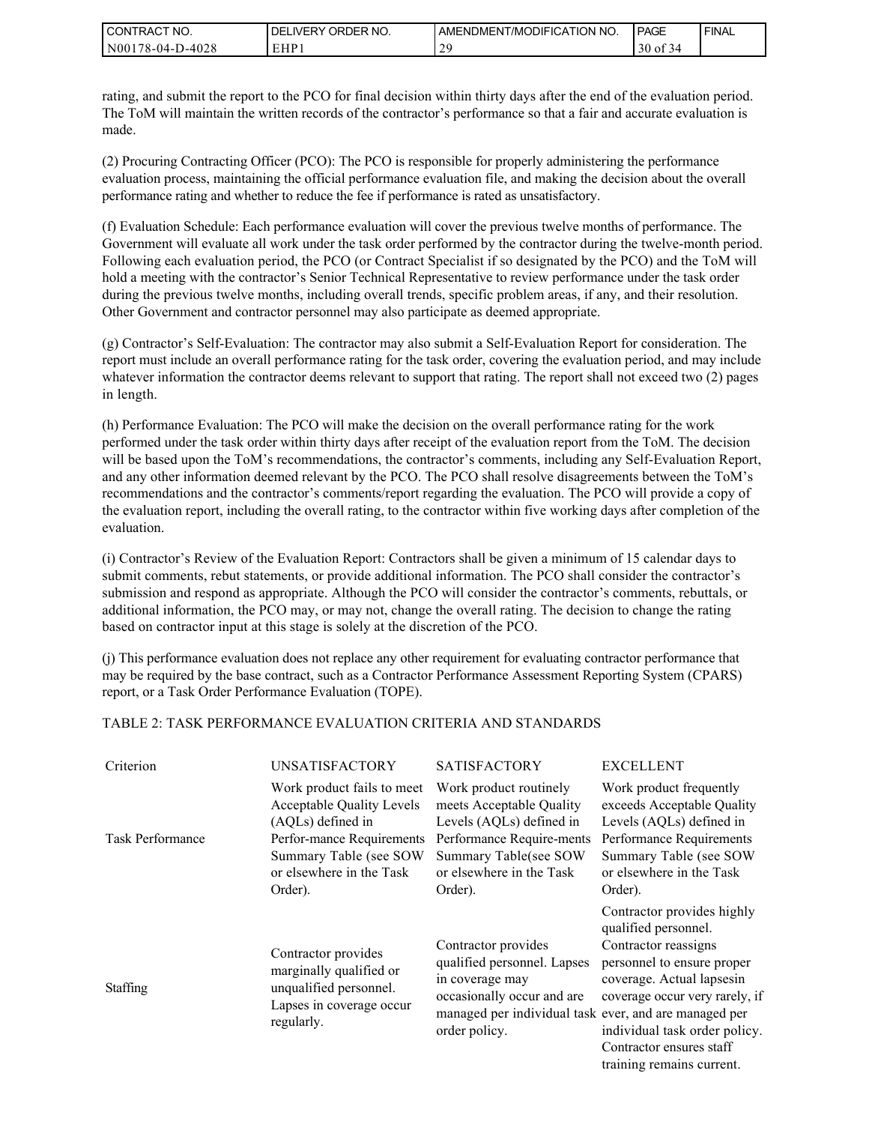| I CON'<br><b>ITRACT NO.</b> | NO.<br>ORDER<br><b>DELIVERY</b> | AMENDMENT/MODIFICATION NO. | <b>PAGE</b>                     | ' FINAL |
|-----------------------------|---------------------------------|----------------------------|---------------------------------|---------|
| N00<br>178-04-D-4028        | EHP                             | -                          | $\sim$ $\sim$<br>30<br>0Ī<br>٠∠ |         |

rating, and submit the report to the PCO for final decision within thirty days after the end of the evaluation period. The ToM will maintain the written records of the contractor's performance so that a fair and accurate evaluation is made.

(2) Procuring Contracting Officer (PCO): The PCO is responsible for properly administering the performance evaluation process, maintaining the official performance evaluation file, and making the decision about the overall performance rating and whether to reduce the fee if performance is rated as unsatisfactory.

(f) Evaluation Schedule: Each performance evaluation will cover the previous twelve months of performance. The Government will evaluate all work under the task order performed by the contractor during the twelve-month period. Following each evaluation period, the PCO (or Contract Specialist if so designated by the PCO) and the ToM will hold a meeting with the contractor's Senior Technical Representative to review performance under the task order during the previous twelve months, including overall trends, specific problem areas, if any, and their resolution. Other Government and contractor personnel may also participate as deemed appropriate.

(g) Contractor's Self-Evaluation: The contractor may also submit a Self-Evaluation Report for consideration. The report must include an overall performance rating for the task order, covering the evaluation period, and may include whatever information the contractor deems relevant to support that rating. The report shall not exceed two (2) pages in length.

(h) Performance Evaluation: The PCO will make the decision on the overall performance rating for the work performed under the task order within thirty days after receipt of the evaluation report from the ToM. The decision will be based upon the ToM's recommendations, the contractor's comments, including any Self-Evaluation Report, and any other information deemed relevant by the PCO. The PCO shall resolve disagreements between the ToM's recommendations and the contractor's comments/report regarding the evaluation. The PCO will provide a copy of the evaluation report, including the overall rating, to the contractor within five working days after completion of the evaluation.

(i) Contractor's Review of the Evaluation Report: Contractors shall be given a minimum of 15 calendar days to submit comments, rebut statements, or provide additional information. The PCO shall consider the contractor's submission and respond as appropriate. Although the PCO will consider the contractor's comments, rebuttals, or additional information, the PCO may, or may not, change the overall rating. The decision to change the rating based on contractor input at this stage is solely at the discretion of the PCO.

(j) This performance evaluation does not replace any other requirement for evaluating contractor performance that may be required by the base contract, such as a Contractor Performance Assessment Reporting System (CPARS) report, or a Task Order Performance Evaluation (TOPE).

#### TABLE 2: TASK PERFORMANCE EVALUATION CRITERIA AND STANDARDS

| Criterion               | <b>UNSATISFACTORY</b>                                                                                                                                                             | <b>SATISFACTORY</b>                                                                                                                                                           | <b>EXCELLENT</b>                                                                                                                                                                                                                                                  |
|-------------------------|-----------------------------------------------------------------------------------------------------------------------------------------------------------------------------------|-------------------------------------------------------------------------------------------------------------------------------------------------------------------------------|-------------------------------------------------------------------------------------------------------------------------------------------------------------------------------------------------------------------------------------------------------------------|
| <b>Task Performance</b> | Work product fails to meet<br><b>Acceptable Quality Levels</b><br>(AQLs) defined in<br>Perfor-mance Requirements<br>Summary Table (see SOW<br>or elsewhere in the Task<br>Order). | Work product routinely<br>meets Acceptable Quality<br>Levels (AQLs) defined in<br>Performance Require-ments<br>Summary Table(see SOW<br>or elsewhere in the Task<br>Order).   | Work product frequently<br>exceeds Acceptable Quality<br>Levels (AQLs) defined in<br>Performance Requirements<br>Summary Table (see SOW<br>or elsewhere in the Task<br>Order).                                                                                    |
| <b>Staffing</b>         | Contractor provides<br>marginally qualified or<br>unqualified personnel.<br>Lapses in coverage occur<br>regularly.                                                                | Contractor provides<br>qualified personnel. Lapses<br>in coverage may<br>occasionally occur and are<br>managed per individual task ever, and are managed per<br>order policy. | Contractor provides highly<br>qualified personnel.<br>Contractor reassigns<br>personnel to ensure proper<br>coverage. Actual lapsesin<br>coverage occur very rarely, if<br>individual task order policy.<br>Contractor ensures staff<br>training remains current. |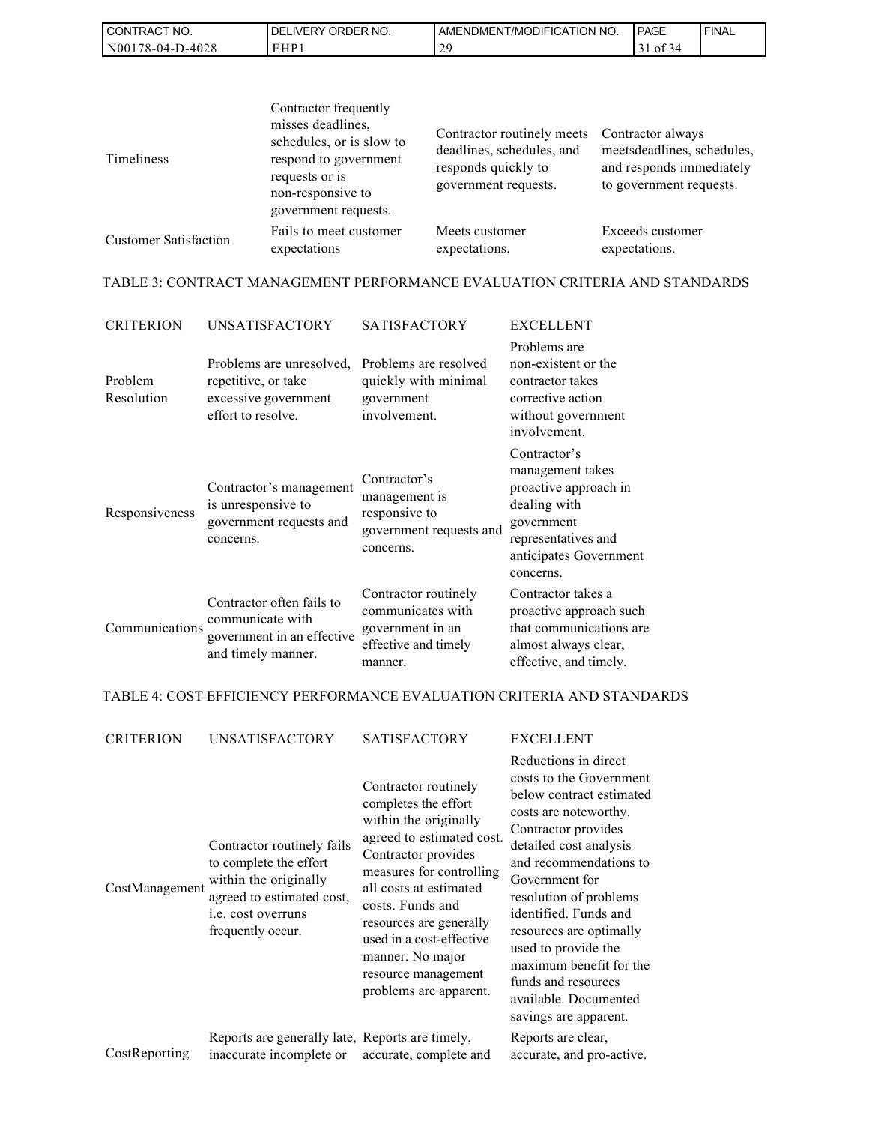| 'NO.<br>CONTRACT                      | <b>JRDER</b><br>NO<br>DE<br><b>NERY</b> | (TION NO<br>ODIFICA<br>7MC<br>AMENDMENT. | <b>PAGE</b> | <b>FINAL</b> |
|---------------------------------------|-----------------------------------------|------------------------------------------|-------------|--------------|
| 0-4028<br>NO0 <sub>1</sub><br>'8-04-. | cup<br>EПI                              | $\sim$<br>∸                              | $\sim$<br>o |              |

| <b>Timeliness</b>            | Contractor frequently<br>misses deadlines,<br>schedules, or is slow to<br>respond to government<br>requests or is<br>non-responsive to<br>government requests. | Contractor routinely meets<br>deadlines, schedules, and<br>responds quickly to<br>government requests. | Contractor always<br>meetsdeadlines, schedules,<br>and responds immediately<br>to government requests. |
|------------------------------|----------------------------------------------------------------------------------------------------------------------------------------------------------------|--------------------------------------------------------------------------------------------------------|--------------------------------------------------------------------------------------------------------|
| <b>Customer Satisfaction</b> | Fails to meet customer                                                                                                                                         | Meets customer                                                                                         | Exceeds customer                                                                                       |
|                              | expectations                                                                                                                                                   | expectations.                                                                                          | expectations.                                                                                          |

TABLE 3: CONTRACT MANAGEMENT PERFORMANCE EVALUATION CRITERIA AND STANDARDS

| <b>CRITERION</b>      | <b>UNSATISFACTORY</b>                                                                             | <b>SATISFACTORY</b>                                                                              | <b>EXCELLENT</b>                                                                                                                                      |
|-----------------------|---------------------------------------------------------------------------------------------------|--------------------------------------------------------------------------------------------------|-------------------------------------------------------------------------------------------------------------------------------------------------------|
| Problem<br>Resolution | Problems are unresolved.<br>repetitive, or take<br>excessive government<br>effort to resolve.     | Problems are resolved<br>quickly with minimal<br>government<br>involvement.                      | Problems are<br>non-existent or the<br>contractor takes<br>corrective action<br>without government<br>involvement.                                    |
| Responsiveness        | Contractor's management<br>is unresponsive to<br>government requests and<br>concerns.             | Contractor's<br>management is<br>responsive to<br>government requests and<br>concerns.           | Contractor's<br>management takes<br>proactive approach in<br>dealing with<br>government<br>representatives and<br>anticipates Government<br>concerns. |
| Communications        | Contractor often fails to<br>communicate with<br>government in an effective<br>and timely manner. | Contractor routinely<br>communicates with<br>government in an<br>effective and timely<br>manner. | Contractor takes a<br>proactive approach such<br>that communications are<br>almost always clear,<br>effective, and timely.                            |

## TABLE 4: COST EFFICIENCY PERFORMANCE EVALUATION CRITERIA AND STANDARDS

| <b>CRITERION</b> | <b>UNSATISFACTORY</b>                                                                                                                                        | <b>SATISFACTORY</b>                                                                                                                                                                                                                                                                                                             | <b>EXCELLENT</b>                                                                                                                                                                                                                                                                                                                                                                                           |
|------------------|--------------------------------------------------------------------------------------------------------------------------------------------------------------|---------------------------------------------------------------------------------------------------------------------------------------------------------------------------------------------------------------------------------------------------------------------------------------------------------------------------------|------------------------------------------------------------------------------------------------------------------------------------------------------------------------------------------------------------------------------------------------------------------------------------------------------------------------------------------------------------------------------------------------------------|
| CostManagement   | Contractor routinely fails<br>to complete the effort<br>within the originally<br>agreed to estimated cost,<br><i>i.e.</i> cost overruns<br>frequently occur. | Contractor routinely<br>completes the effort<br>within the originally<br>agreed to estimated cost.<br>Contractor provides<br>measures for controlling<br>all costs at estimated<br>costs. Funds and<br>resources are generally<br>used in a cost-effective<br>manner. No major<br>resource management<br>problems are apparent. | Reductions in direct<br>costs to the Government<br>below contract estimated<br>costs are noteworthy.<br>Contractor provides<br>detailed cost analysis<br>and recommendations to<br>Government for<br>resolution of problems<br>identified. Funds and<br>resources are optimally<br>used to provide the<br>maximum benefit for the<br>funds and resources<br>available. Documented<br>savings are apparent. |
| CostReporting    | Reports are generally late, Reports are timely,<br>inaccurate incomplete or                                                                                  | accurate, complete and                                                                                                                                                                                                                                                                                                          | Reports are clear,<br>accurate, and pro-active.                                                                                                                                                                                                                                                                                                                                                            |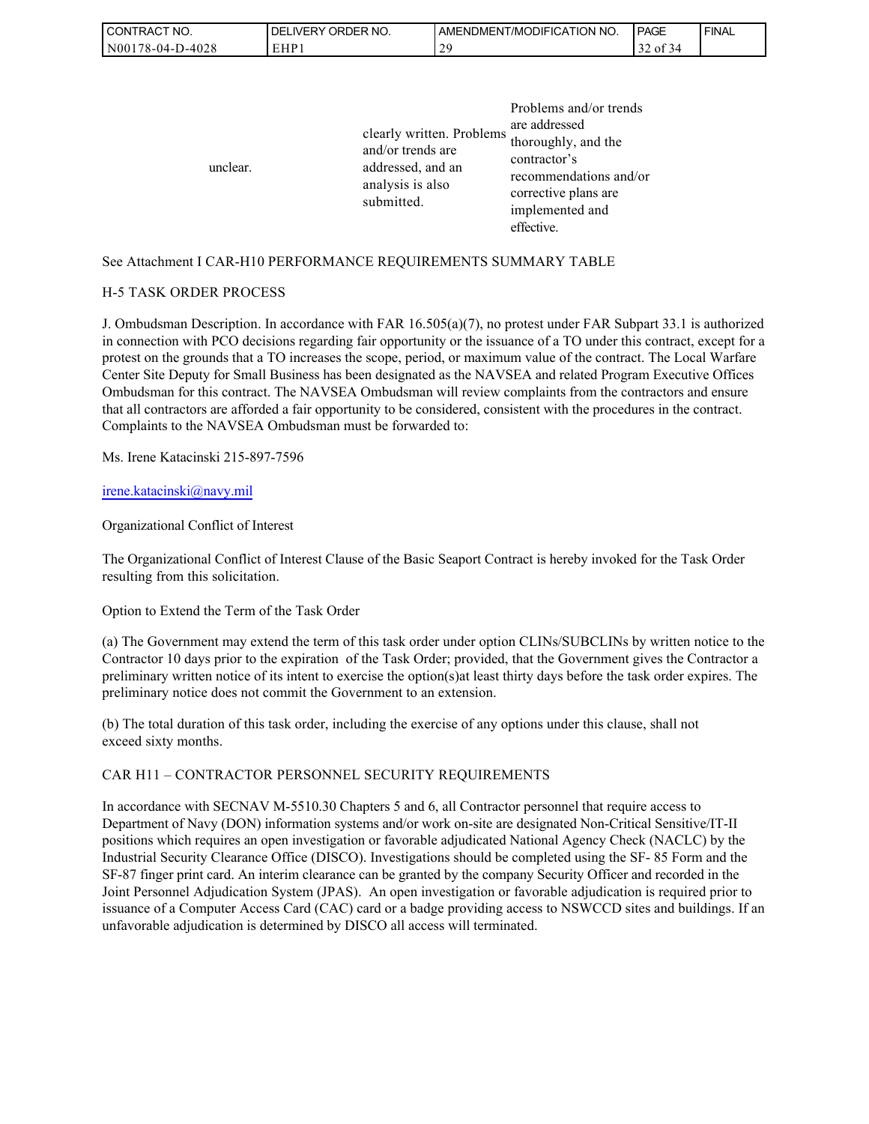| <b>CONTRACT</b><br>" NO. | ORDER NO.<br><b>DELIVERY</b> | I AMENDMENT/MODIFICATION NO. | <b>I PAGE</b>       | ' FINAL |
|--------------------------|------------------------------|------------------------------|---------------------|---------|
| N00178-04-D-4028         | EHP:                         | $\gamma$<br>∸                | $\sim$<br>οt<br>-54 |         |

| unclear. | clearly written. Problems<br>and/or trends are<br>addressed, and an<br>analysis is also<br>submitted. | Problems and/or trends<br>are addressed<br>thoroughly, and the<br>contractor's<br>recommendations and/or<br>corrective plans are<br>implemented and<br>effective. |
|----------|-------------------------------------------------------------------------------------------------------|-------------------------------------------------------------------------------------------------------------------------------------------------------------------|
|----------|-------------------------------------------------------------------------------------------------------|-------------------------------------------------------------------------------------------------------------------------------------------------------------------|

#### See Attachment I CAR-H10 PERFORMANCE REQUIREMENTS SUMMARY TABLE

#### H-5 TASK ORDER PROCESS

J. Ombudsman Description. In accordance with FAR 16.505(a)(7), no protest under FAR Subpart 33.1 is authorized in connection with PCO decisions regarding fair opportunity or the issuance of a TO under this contract, except for a protest on the grounds that a TO increases the scope, period, or maximum value of the contract. The Local Warfare Center Site Deputy for Small Business has been designated as the NAVSEA and related Program Executive Offices Ombudsman for this contract. The NAVSEA Ombudsman will review complaints from the contractors and ensure that all contractors are afforded a fair opportunity to be considered, consistent with the procedures in the contract. Complaints to the NAVSEA Ombudsman must be forwarded to:

Ms. Irene Katacinski 215-897-7596

#### [irene.katacinski@navy.mil](mailto:irene.katacinski@navy.mil)

#### Organizational Conflict of Interest

The Organizational Conflict of Interest Clause of the Basic Seaport Contract is hereby invoked for the Task Order resulting from this solicitation.

Option to Extend the Term of the Task Order

(a) The Government may extend the term of this task order under option CLINs/SUBCLINs by written notice to the Contractor 10 days prior to the expiration of the Task Order; provided, that the Government gives the Contractor a preliminary written notice of its intent to exercise the option(s)at least thirty days before the task order expires. The preliminary notice does not commit the Government to an extension.

(b) The total duration of this task order, including the exercise of any options under this clause, shall not exceed sixty months.

#### CAR H11 – CONTRACTOR PERSONNEL SECURITY REQUIREMENTS

In accordance with SECNAV M-5510.30 Chapters 5 and 6, all Contractor personnel that require access to Department of Navy (DON) information systems and/or work on-site are designated Non-Critical Sensitive/IT-II positions which requires an open investigation or favorable adjudicated National Agency Check (NACLC) by the Industrial Security Clearance Office (DISCO). Investigations should be completed using the SF- 85 Form and the SF-87 finger print card. An interim clearance can be granted by the company Security Officer and recorded in the Joint Personnel Adjudication System (JPAS). An open investigation or favorable adjudication is required prior to issuance of a Computer Access Card (CAC) card or a badge providing access to NSWCCD sites and buildings. If an unfavorable adjudication is determined by DISCO all access will terminated.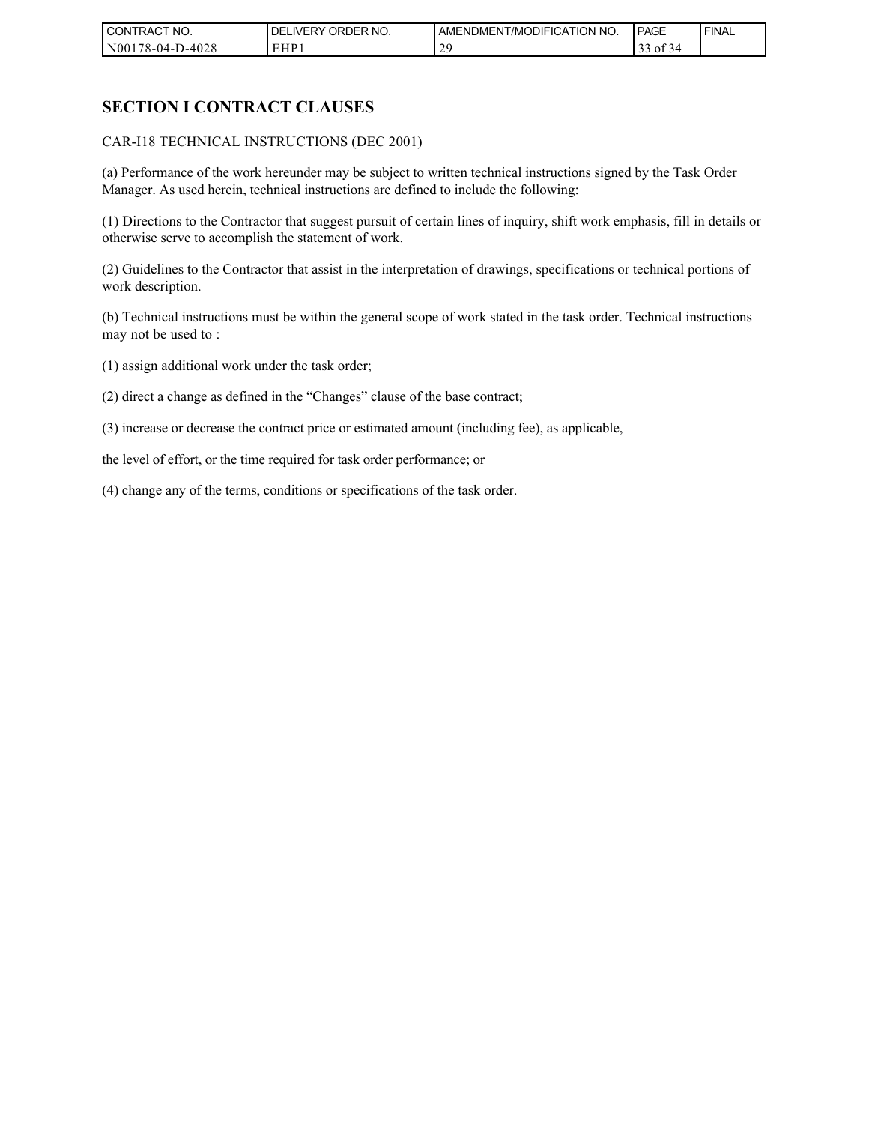| CONTRACT NO.     | NO.<br>ORDER <sup>'</sup><br><b>DELIVERY</b> | I AMENDMENT/MODIFICATION NO. | PAGE                            | ' FINAL |
|------------------|----------------------------------------------|------------------------------|---------------------------------|---------|
| N00178-04-D-4028 | EHP 1                                        | $\gamma c$<br>∼              | $\sim$ $\sim$<br>0Ī<br>$\Delta$ |         |

## **SECTION I CONTRACT CLAUSES**

CAR-I18 TECHNICAL INSTRUCTIONS (DEC 2001)

(a) Performance of the work hereunder may be subject to written technical instructions signed by the Task Order Manager. As used herein, technical instructions are defined to include the following:

(1) Directions to the Contractor that suggest pursuit of certain lines of inquiry, shift work emphasis, fill in details or otherwise serve to accomplish the statement of work.

(2) Guidelines to the Contractor that assist in the interpretation of drawings, specifications or technical portions of work description.

(b) Technical instructions must be within the general scope of work stated in the task order. Technical instructions may not be used to :

(1) assign additional work under the task order;

(2) direct a change as defined in the "Changes" clause of the base contract;

(3) increase or decrease the contract price or estimated amount (including fee), as applicable,

the level of effort, or the time required for task order performance; or

(4) change any of the terms, conditions or specifications of the task order.